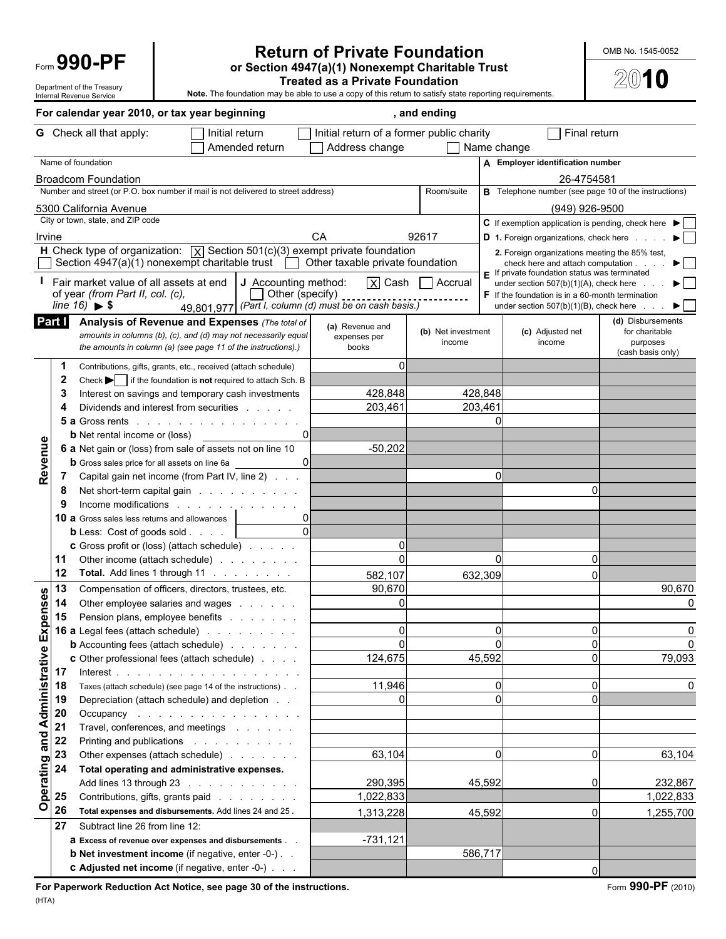### **Return of Private Foundation Private Foundation** Form **990-PF or Section 4947(a)(1) Nonexempt Charitable Trust**

 $2010$ 

Department of the Treasury<br> **Treated as a Private Foundation**<br> **Internal Revenue Service**<br> **Note.** The foundation may be able to use a copy of this return to satisfy state<br> **Note.** The foundation may be able to use a copy Note. The foundation may be able to use a copy of this return to satisfy state reporting requirements.

|           |                   | For calendar year 2010, or tax year beginning                                                                                                                                                                                                                                                                                                                                                                                                                                                                                                                                                                          |                                                  | , and ending                                            |                       |                                                                                                      |                                     |
|-----------|-------------------|------------------------------------------------------------------------------------------------------------------------------------------------------------------------------------------------------------------------------------------------------------------------------------------------------------------------------------------------------------------------------------------------------------------------------------------------------------------------------------------------------------------------------------------------------------------------------------------------------------------------|--------------------------------------------------|---------------------------------------------------------|-----------------------|------------------------------------------------------------------------------------------------------|-------------------------------------|
|           |                   | <b>G</b> Check all that apply:<br>$\Box$ Initial return                                                                                                                                                                                                                                                                                                                                                                                                                                                                                                                                                                | $\Box$ Initial return of a former public charity |                                                         |                       | $\overline{\phantom{a}}$ Final return                                                                |                                     |
|           |                   | Amended return                                                                                                                                                                                                                                                                                                                                                                                                                                                                                                                                                                                                         | Address change                                   | $\Box$ Name change                                      |                       |                                                                                                      |                                     |
|           |                   | Name of foundation                                                                                                                                                                                                                                                                                                                                                                                                                                                                                                                                                                                                     |                                                  |                                                         |                       | A Employer identification number                                                                     |                                     |
|           |                   | <b>Broadcom Foundation</b>                                                                                                                                                                                                                                                                                                                                                                                                                                                                                                                                                                                             |                                                  |                                                         |                       | 26-4754581                                                                                           |                                     |
|           |                   | Number and street (or P.O. box number if mail is not delivered to street address)                                                                                                                                                                                                                                                                                                                                                                                                                                                                                                                                      |                                                  | Room/suite                                              |                       | <b>B</b> Telephone number (see page 10 of the instructions)                                          |                                     |
|           |                   | 5300 California Avenue                                                                                                                                                                                                                                                                                                                                                                                                                                                                                                                                                                                                 |                                                  |                                                         |                       | (949) 926-9500                                                                                       |                                     |
|           |                   | City or town, state, and ZIP code                                                                                                                                                                                                                                                                                                                                                                                                                                                                                                                                                                                      |                                                  |                                                         |                       | C If exemption application is pending, check here $\blacktriangleright$                              |                                     |
| Irvine    |                   |                                                                                                                                                                                                                                                                                                                                                                                                                                                                                                                                                                                                                        | CA                                               | 92617                                                   |                       | D 1. Foreign organizations, check here                                                               |                                     |
|           |                   | H Check type of organization: $\boxed{x}$ Section 501(c)(3) exempt private foundation                                                                                                                                                                                                                                                                                                                                                                                                                                                                                                                                  |                                                  |                                                         |                       | 2. Foreign organizations meeting the 85% test,                                                       |                                     |
|           |                   | Section 4947(a)(1) nonexempt charitable trust $\Box$ Other taxable private foundation                                                                                                                                                                                                                                                                                                                                                                                                                                                                                                                                  |                                                  |                                                         |                       | check here and attach computation.                                                                   | $\blacktriangleright$ $\vdash$      |
|           |                   | Fair market value of all assets at end $\bigcup$ Accounting method:                                                                                                                                                                                                                                                                                                                                                                                                                                                                                                                                                    |                                                  | $\boxed{\mathsf{X}}$ Cash $\boxed{\phantom{a}}$ Accrual |                       | $\blacksquare$ If private foundation status was terminated<br>under section 507(b)(1)(A), check here | ▶ │ │                               |
|           |                   | Other (specify)<br>of year (from Part II, col. (c),                                                                                                                                                                                                                                                                                                                                                                                                                                                                                                                                                                    |                                                  |                                                         |                       | $\mathsf F$ If the foundation is in a 60-month termination                                           |                                     |
|           |                   | $\begin{array}{c} \text{L}(3, 2) \rightarrow \text{L}(4, 3) \rightarrow \text{L}(5) \rightarrow \text{L}(6, 3) \rightarrow \text{L}(7) \rightarrow \text{L}(7) \rightarrow \text{L}(8) \rightarrow \text{L}(7) \rightarrow \text{L}(8) \rightarrow \text{L}(7) \rightarrow \text{L}(8) \rightarrow \text{L}(7) \rightarrow \text{L}(8) \rightarrow \text{L}(7) \rightarrow \text{L}(8) \rightarrow \text{L}(7) \rightarrow \text{L}(8) \rightarrow \text{L}(7) \rightarrow \text{L}(8) \rightarrow \text{L}(7) \rightarrow \text{L}(8) \rightarrow \text{L}(7) \rightarrow \text{L}($<br>line $16$ $\triangleright$ \$ |                                                  |                                                         |                       | under section $507(b)(1)(B)$ , check here                                                            | ▶│                                  |
|           | Part I            | Analysis of Revenue and Expenses (The total of                                                                                                                                                                                                                                                                                                                                                                                                                                                                                                                                                                         | (a) Revenue and                                  | (b) Net investment                                      |                       | (c) Adjusted net                                                                                     | (d) Disbursements<br>for charitable |
|           |                   | amounts in columns (b), (c), and (d) may not necessarily equal<br>the amounts in column (a) (see page 11 of the instructions).)                                                                                                                                                                                                                                                                                                                                                                                                                                                                                        | expenses per                                     | income                                                  |                       | income                                                                                               | purposes                            |
|           |                   |                                                                                                                                                                                                                                                                                                                                                                                                                                                                                                                                                                                                                        | books                                            |                                                         |                       |                                                                                                      | (cash basis only)                   |
|           |                   | Contributions, gifts, grants, etc., received (attach schedule)                                                                                                                                                                                                                                                                                                                                                                                                                                                                                                                                                         |                                                  |                                                         |                       |                                                                                                      |                                     |
|           | 2                 | Check if the foundation is not required to attach Sch. B                                                                                                                                                                                                                                                                                                                                                                                                                                                                                                                                                               |                                                  |                                                         |                       |                                                                                                      |                                     |
|           | 3                 | Interest on savings and temporary cash investments                                                                                                                                                                                                                                                                                                                                                                                                                                                                                                                                                                     | 428,848                                          |                                                         | 428,848               |                                                                                                      |                                     |
|           |                   | Dividends and interest from securities<br><b>5 a</b> Gross rents                                                                                                                                                                                                                                                                                                                                                                                                                                                                                                                                                       | 203,461                                          | 203,461                                                 |                       |                                                                                                      |                                     |
|           |                   | and a series and a series and a series<br><b>b</b> Net rental income or (loss)                                                                                                                                                                                                                                                                                                                                                                                                                                                                                                                                         |                                                  |                                                         |                       |                                                                                                      |                                     |
|           |                   | 6 a Net gain or (loss) from sale of assets not on line 10                                                                                                                                                                                                                                                                                                                                                                                                                                                                                                                                                              | $-50,202$                                        |                                                         |                       |                                                                                                      |                                     |
| Revenue   |                   | <b>b</b> Gross sales price for all assets on line 6a                                                                                                                                                                                                                                                                                                                                                                                                                                                                                                                                                                   |                                                  |                                                         |                       |                                                                                                      |                                     |
|           |                   | Capital gain net income (from Part IV, line 2)                                                                                                                                                                                                                                                                                                                                                                                                                                                                                                                                                                         |                                                  |                                                         | ∩                     |                                                                                                      |                                     |
|           | 8                 | Net short-term capital gain                                                                                                                                                                                                                                                                                                                                                                                                                                                                                                                                                                                            |                                                  |                                                         |                       | $\Omega$                                                                                             |                                     |
|           | 9                 | Income modifications expansion of the state of the state of the state of the state of the state of the state of the state of the state of the state of the state of the state of the state of the state of the state of the st                                                                                                                                                                                                                                                                                                                                                                                         |                                                  |                                                         |                       |                                                                                                      |                                     |
|           |                   | <b>10 a</b> Gross sales less returns and allowances                                                                                                                                                                                                                                                                                                                                                                                                                                                                                                                                                                    |                                                  |                                                         |                       |                                                                                                      |                                     |
|           |                   | <b>b</b> Less: Cost of goods sold.                                                                                                                                                                                                                                                                                                                                                                                                                                                                                                                                                                                     |                                                  |                                                         |                       |                                                                                                      |                                     |
|           |                   | <b>c</b> Gross profit or (loss) (attach schedule)                                                                                                                                                                                                                                                                                                                                                                                                                                                                                                                                                                      |                                                  |                                                         |                       |                                                                                                      |                                     |
|           | 11                | Other income (attach schedule)                                                                                                                                                                                                                                                                                                                                                                                                                                                                                                                                                                                         | <sup>0</sup>                                     |                                                         | $\Omega$              | $\Omega$                                                                                             |                                     |
|           | 12                | Total. Add lines 1 through 11                                                                                                                                                                                                                                                                                                                                                                                                                                                                                                                                                                                          | 582,107                                          |                                                         | 632,309               | U                                                                                                    |                                     |
| <b>မိ</b> | 13                | Compensation of officers, directors, trustees, etc.                                                                                                                                                                                                                                                                                                                                                                                                                                                                                                                                                                    | 90,670                                           |                                                         |                       |                                                                                                      | 90,670                              |
|           | $\sum_{i=1}^{14}$ | Other employee salaries and wages                                                                                                                                                                                                                                                                                                                                                                                                                                                                                                                                                                                      |                                                  |                                                         |                       |                                                                                                      |                                     |
| Ф         | 15                | Pension plans, employee benefits                                                                                                                                                                                                                                                                                                                                                                                                                                                                                                                                                                                       |                                                  |                                                         |                       |                                                                                                      |                                     |
| ×         |                   | 16 a Legal fees (attach schedule)                                                                                                                                                                                                                                                                                                                                                                                                                                                                                                                                                                                      |                                                  |                                                         | $\Omega$              | $\Omega$                                                                                             |                                     |
|           |                   | <b>b</b> Accounting fees (attach schedule)<br><b>c</b> Other professional fees (attach schedule)                                                                                                                                                                                                                                                                                                                                                                                                                                                                                                                       | $\overline{0}$<br>124,675                        |                                                         | $\mathbf 0$<br>45,592 | $\overline{0}$<br>$\overline{0}$                                                                     | 0<br>79,093                         |
|           |                   |                                                                                                                                                                                                                                                                                                                                                                                                                                                                                                                                                                                                                        |                                                  |                                                         |                       |                                                                                                      |                                     |
|           |                   | Taxes (attach schedule) (see page 14 of the instructions)                                                                                                                                                                                                                                                                                                                                                                                                                                                                                                                                                              | 11,946                                           |                                                         | $\Omega$              | $\overline{0}$                                                                                       | $\Omega$                            |
|           |                   | Depreciation (attach schedule) and depletion                                                                                                                                                                                                                                                                                                                                                                                                                                                                                                                                                                           | 0                                                |                                                         | $\Omega$              | $\Omega$                                                                                             |                                     |
|           |                   | Occupancy                                                                                                                                                                                                                                                                                                                                                                                                                                                                                                                                                                                                              |                                                  |                                                         |                       |                                                                                                      |                                     |
|           |                   | Travel, conferences, and meetings                                                                                                                                                                                                                                                                                                                                                                                                                                                                                                                                                                                      |                                                  |                                                         |                       |                                                                                                      |                                     |
|           |                   |                                                                                                                                                                                                                                                                                                                                                                                                                                                                                                                                                                                                                        |                                                  |                                                         |                       |                                                                                                      |                                     |
|           |                   | Other expenses (attach schedule)                                                                                                                                                                                                                                                                                                                                                                                                                                                                                                                                                                                       | 63,104                                           |                                                         | $\Omega$              | $\overline{0}$                                                                                       | 63,104                              |
|           |                   | Total operating and administrative expenses.                                                                                                                                                                                                                                                                                                                                                                                                                                                                                                                                                                           |                                                  |                                                         |                       |                                                                                                      |                                     |
|           |                   | Add lines 13 through 23                                                                                                                                                                                                                                                                                                                                                                                                                                                                                                                                                                                                | 290,395                                          |                                                         | 45,592                | 0                                                                                                    | 232,867                             |
|           |                   | Contributions, gifts, grants paid                                                                                                                                                                                                                                                                                                                                                                                                                                                                                                                                                                                      | 1,022,833                                        |                                                         |                       |                                                                                                      | 1,022,833                           |
|           |                   | Total expenses and disbursements. Add lines 24 and 25.                                                                                                                                                                                                                                                                                                                                                                                                                                                                                                                                                                 | 1,313,228                                        |                                                         | 45,592                | $\Omega$                                                                                             | 1,255,700                           |
|           | 27                | Subtract line 26 from line 12:                                                                                                                                                                                                                                                                                                                                                                                                                                                                                                                                                                                         |                                                  |                                                         |                       |                                                                                                      |                                     |
|           |                   | a Excess of revenue over expenses and disbursements.                                                                                                                                                                                                                                                                                                                                                                                                                                                                                                                                                                   | $-731,121$                                       |                                                         |                       |                                                                                                      |                                     |
|           |                   | <b>b Net investment income</b> (if negative, enter -0-)                                                                                                                                                                                                                                                                                                                                                                                                                                                                                                                                                                |                                                  |                                                         | 586,717               |                                                                                                      |                                     |
|           |                   | c Adjusted net income (if negative, enter -0-)                                                                                                                                                                                                                                                                                                                                                                                                                                                                                                                                                                         |                                                  |                                                         |                       | O                                                                                                    |                                     |
|           |                   | For Paperwork Reduction Act Notice, see page 30 of the instructions.                                                                                                                                                                                                                                                                                                                                                                                                                                                                                                                                                   |                                                  |                                                         |                       |                                                                                                      | Form 990-PF (2010)                  |
| (HTA)     |                   |                                                                                                                                                                                                                                                                                                                                                                                                                                                                                                                                                                                                                        |                                                  |                                                         |                       |                                                                                                      |                                     |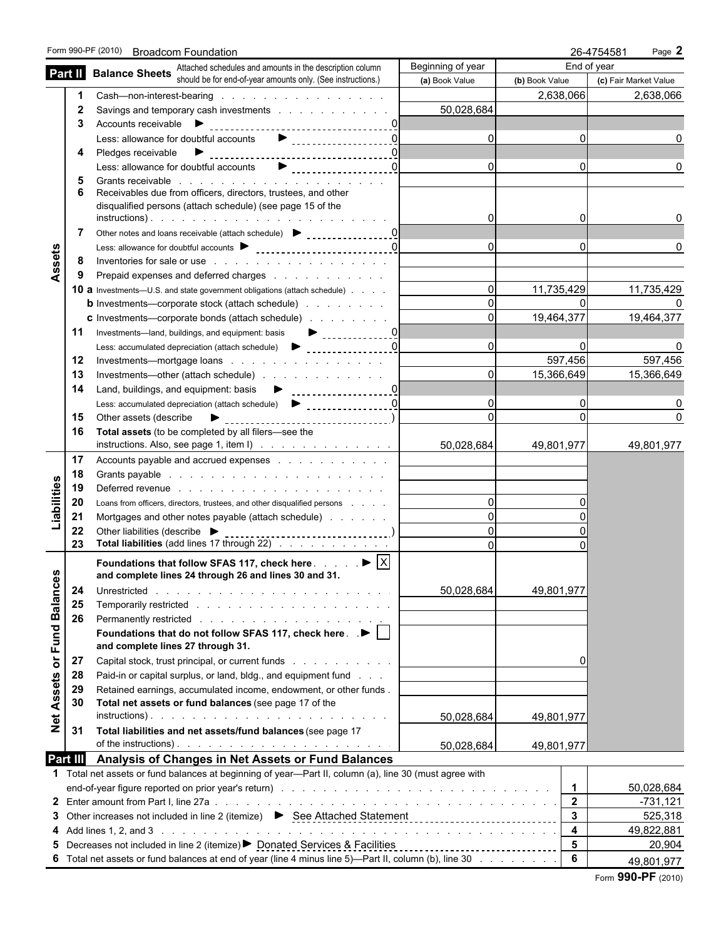|                     |                                                                                                                                                    | Form 990-PF (2010) Broadcom Foundation                                                                                                                                                                                                                                                                                                                                                                                                                                                |                                |                | 26-4754581<br>Page 2  |  |  |  |
|---------------------|----------------------------------------------------------------------------------------------------------------------------------------------------|---------------------------------------------------------------------------------------------------------------------------------------------------------------------------------------------------------------------------------------------------------------------------------------------------------------------------------------------------------------------------------------------------------------------------------------------------------------------------------------|--------------------------------|----------------|-----------------------|--|--|--|
|                     |                                                                                                                                                    | <b>Part II</b> Balance Sheets Attached schedules and amounts in the description column <b>Part II</b> Balance Sheets should be for end-of-year amounts only. (See instructions.)                                                                                                                                                                                                                                                                                                      | Beginning of year              |                | End of year           |  |  |  |
|                     |                                                                                                                                                    |                                                                                                                                                                                                                                                                                                                                                                                                                                                                                       | (a) Book Value                 | (b) Book Value | (c) Fair Market Value |  |  |  |
|                     |                                                                                                                                                    |                                                                                                                                                                                                                                                                                                                                                                                                                                                                                       |                                | 2,638,066      | 2,638,066             |  |  |  |
|                     | 2                                                                                                                                                  | Savings and temporary cash investments                                                                                                                                                                                                                                                                                                                                                                                                                                                | 50,028,684                     |                |                       |  |  |  |
|                     | 3                                                                                                                                                  |                                                                                                                                                                                                                                                                                                                                                                                                                                                                                       |                                |                |                       |  |  |  |
|                     |                                                                                                                                                    | Less: allowance for doubtful accounts <b>D</b><br><br><br><br><br><br><br><br><br><br><br><br><br><br><br><br><br><br><br><br><br><br><br>                                                                                                                                                                                                                                                                                                                                            | $\Omega$                       | 0              |                       |  |  |  |
|                     | 4                                                                                                                                                  |                                                                                                                                                                                                                                                                                                                                                                                                                                                                                       |                                |                |                       |  |  |  |
|                     |                                                                                                                                                    | Less: allowance for doubtful accounts                                                                                                                                                                                                                                                                                                                                                                                                                                                 | $\Omega$                       | 0              |                       |  |  |  |
|                     | 5<br>6                                                                                                                                             | Grants receivable entering the state of the state of the state of the state of the state of the state of the state of the state of the state of the state of the state of the state of the state of the state of the state of<br>Receivables due from officers, directors, trustees, and other                                                                                                                                                                                        |                                |                |                       |  |  |  |
|                     |                                                                                                                                                    | disqualified persons (attach schedule) (see page 15 of the                                                                                                                                                                                                                                                                                                                                                                                                                            |                                |                |                       |  |  |  |
|                     |                                                                                                                                                    |                                                                                                                                                                                                                                                                                                                                                                                                                                                                                       |                                | 0              |                       |  |  |  |
|                     | 7                                                                                                                                                  | Other notes and loans receivable (attach schedule) > contained a contact of the notes and loans receivable (attach schedule)                                                                                                                                                                                                                                                                                                                                                          |                                |                |                       |  |  |  |
|                     |                                                                                                                                                    |                                                                                                                                                                                                                                                                                                                                                                                                                                                                                       |                                | 0              |                       |  |  |  |
|                     | 8                                                                                                                                                  | Inventories for sale or use the contract of the contract of the contract of the contract of the contract of the contract of the contract of the contract of the contract of the contract of the contract of the contract of th                                                                                                                                                                                                                                                        |                                |                |                       |  |  |  |
| Assets              | 9                                                                                                                                                  |                                                                                                                                                                                                                                                                                                                                                                                                                                                                                       |                                |                |                       |  |  |  |
|                     |                                                                                                                                                    | <b>10 a</b> Investments—U.S. and state government obligations (attach schedule)                                                                                                                                                                                                                                                                                                                                                                                                       | $\Omega$                       | 11,735,429     | 11,735,429            |  |  |  |
|                     |                                                                                                                                                    | <b>b</b> Investments—corporate stock (attach schedule)                                                                                                                                                                                                                                                                                                                                                                                                                                |                                |                |                       |  |  |  |
|                     |                                                                                                                                                    | <b>c</b> Investments—corporate bonds (attach schedule)                                                                                                                                                                                                                                                                                                                                                                                                                                |                                | 19,464,377     | 19,464,377            |  |  |  |
|                     | 11                                                                                                                                                 | $\begin{array}{c c c c c c} \hline \textbf{L} & \textbf{L} & \textbf{L} & \textbf{L} & \textbf{L} \\ \hline \textbf{L} & \textbf{L} & \textbf{L} & \textbf{L} & \textbf{L} & \textbf{L} & \textbf{L} \\ \hline \textbf{L} & \textbf{L} & \textbf{L} & \textbf{L} & \textbf{L} & \textbf{L} & \textbf{L} & \textbf{L} \\ \hline \textbf{L} & \textbf{L} & \textbf{L} & \textbf{L} & \textbf{L} & \textbf{L} & \textbf{L} & \text$<br>Investments-land, buildings, and equipment: basis |                                |                |                       |  |  |  |
|                     |                                                                                                                                                    | ___________________ <u>_0 </u><br>Less: accumulated depreciation (attach schedule) $\blacktriangleright$                                                                                                                                                                                                                                                                                                                                                                              |                                |                |                       |  |  |  |
|                     | 12                                                                                                                                                 |                                                                                                                                                                                                                                                                                                                                                                                                                                                                                       |                                | 597,456        | 597,456               |  |  |  |
|                     | 13                                                                                                                                                 |                                                                                                                                                                                                                                                                                                                                                                                                                                                                                       | $\Omega$                       | 15,366,649     | 15,366,649            |  |  |  |
|                     | 14                                                                                                                                                 |                                                                                                                                                                                                                                                                                                                                                                                                                                                                                       |                                |                |                       |  |  |  |
|                     |                                                                                                                                                    |                                                                                                                                                                                                                                                                                                                                                                                                                                                                                       |                                |                |                       |  |  |  |
|                     | 15                                                                                                                                                 | Other assets (describe<br>____________________________                                                                                                                                                                                                                                                                                                                                                                                                                                |                                | $\Omega$       | $\Omega$              |  |  |  |
|                     | 16                                                                                                                                                 | Total assets (to be completed by all filers-see the                                                                                                                                                                                                                                                                                                                                                                                                                                   |                                |                |                       |  |  |  |
|                     |                                                                                                                                                    |                                                                                                                                                                                                                                                                                                                                                                                                                                                                                       | 50,028,684                     | 49,801,977     | 49,801,977            |  |  |  |
|                     | 17                                                                                                                                                 |                                                                                                                                                                                                                                                                                                                                                                                                                                                                                       |                                |                |                       |  |  |  |
|                     | 18                                                                                                                                                 |                                                                                                                                                                                                                                                                                                                                                                                                                                                                                       |                                |                |                       |  |  |  |
|                     | 19                                                                                                                                                 | Deferred revenue entering and a series of the series of the series of the series of the series of the series of the series of the series of the series of the series of the series of the series of the series of the series o                                                                                                                                                                                                                                                        | $\Omega$                       |                |                       |  |  |  |
| Liabilities         | 20<br>21                                                                                                                                           | Loans from officers, directors, trustees, and other disqualified persons<br>Mortgages and other notes payable (attach schedule)                                                                                                                                                                                                                                                                                                                                                       |                                |                |                       |  |  |  |
|                     | 22                                                                                                                                                 | Other liabilities (describe $\blacktriangleright$                                                                                                                                                                                                                                                                                                                                                                                                                                     |                                |                |                       |  |  |  |
|                     | 23                                                                                                                                                 | Total liabilities (add lines 17 through 22)                                                                                                                                                                                                                                                                                                                                                                                                                                           | $\Omega$                       |                |                       |  |  |  |
|                     |                                                                                                                                                    |                                                                                                                                                                                                                                                                                                                                                                                                                                                                                       |                                |                |                       |  |  |  |
| ŵ                   |                                                                                                                                                    | Foundations that follow SFAS 117, check here $\ldots$ $\blacktriangleright$ $\vert x \vert$<br>and complete lines 24 through 26 and lines 30 and 31.                                                                                                                                                                                                                                                                                                                                  |                                |                |                       |  |  |  |
|                     | 24                                                                                                                                                 |                                                                                                                                                                                                                                                                                                                                                                                                                                                                                       | 50,028,684                     | 49,801,977     |                       |  |  |  |
|                     | 25                                                                                                                                                 |                                                                                                                                                                                                                                                                                                                                                                                                                                                                                       |                                |                |                       |  |  |  |
| <b>Balance</b>      | 26                                                                                                                                                 |                                                                                                                                                                                                                                                                                                                                                                                                                                                                                       |                                |                |                       |  |  |  |
|                     |                                                                                                                                                    | Foundations that do not follow SFAS 117, check here. . ▶                                                                                                                                                                                                                                                                                                                                                                                                                              |                                |                |                       |  |  |  |
| Fund                |                                                                                                                                                    | and complete lines 27 through 31.                                                                                                                                                                                                                                                                                                                                                                                                                                                     |                                |                |                       |  |  |  |
| $\overline{\sigma}$ | 27                                                                                                                                                 | Capital stock, trust principal, or current funds                                                                                                                                                                                                                                                                                                                                                                                                                                      |                                | 0              |                       |  |  |  |
|                     | 28                                                                                                                                                 | Paid-in or capital surplus, or land, bldg., and equipment fund                                                                                                                                                                                                                                                                                                                                                                                                                        |                                |                |                       |  |  |  |
| Assets              | 29                                                                                                                                                 | Retained earnings, accumulated income, endowment, or other funds.                                                                                                                                                                                                                                                                                                                                                                                                                     |                                |                |                       |  |  |  |
|                     | 30                                                                                                                                                 | Total net assets or fund balances (see page 17 of the                                                                                                                                                                                                                                                                                                                                                                                                                                 |                                |                |                       |  |  |  |
| Net.                |                                                                                                                                                    |                                                                                                                                                                                                                                                                                                                                                                                                                                                                                       | 50,028,684                     | 49,801,977     |                       |  |  |  |
|                     | 31                                                                                                                                                 | Total liabilities and net assets/fund balances (see page 17                                                                                                                                                                                                                                                                                                                                                                                                                           |                                |                |                       |  |  |  |
|                     |                                                                                                                                                    | of the instructions). $\ldots$ $\ldots$ $\ldots$ $\ldots$ $\ldots$ $\ldots$ $\ldots$ $\ldots$                                                                                                                                                                                                                                                                                                                                                                                         | 50,028,684                     | 49,801,977     |                       |  |  |  |
|                     | Part III                                                                                                                                           | Analysis of Changes in Net Assets or Fund Balances                                                                                                                                                                                                                                                                                                                                                                                                                                    |                                |                |                       |  |  |  |
|                     |                                                                                                                                                    | 1 Total net assets or fund balances at beginning of year—Part II, column (a), line 30 (must agree with                                                                                                                                                                                                                                                                                                                                                                                |                                |                |                       |  |  |  |
|                     |                                                                                                                                                    |                                                                                                                                                                                                                                                                                                                                                                                                                                                                                       |                                | $\mathbf 1$    | 50,028,684            |  |  |  |
|                     |                                                                                                                                                    |                                                                                                                                                                                                                                                                                                                                                                                                                                                                                       |                                | $\overline{2}$ | -731,121              |  |  |  |
|                     | $\mathbf{3}$<br>Other increases not included in line 2 (itemize) ▶ See Attached Statement<br>525,318<br>3<br>$\overline{\mathbf{4}}$<br>49,822,881 |                                                                                                                                                                                                                                                                                                                                                                                                                                                                                       |                                |                |                       |  |  |  |
|                     |                                                                                                                                                    |                                                                                                                                                                                                                                                                                                                                                                                                                                                                                       |                                |                |                       |  |  |  |
|                     |                                                                                                                                                    | 5 Decreases not included in line 2 (itemize) Donated Services & Facilities                                                                                                                                                                                                                                                                                                                                                                                                            | ------------------------------ | 5              | 20,904                |  |  |  |
|                     |                                                                                                                                                    | 6 Total net assets or fund balances at end of year (line 4 minus line 5)—Part II, column (b), line 30                                                                                                                                                                                                                                                                                                                                                                                 |                                | 6              | 49,801,977            |  |  |  |
|                     |                                                                                                                                                    |                                                                                                                                                                                                                                                                                                                                                                                                                                                                                       |                                |                | Form 990-PF (2010)    |  |  |  |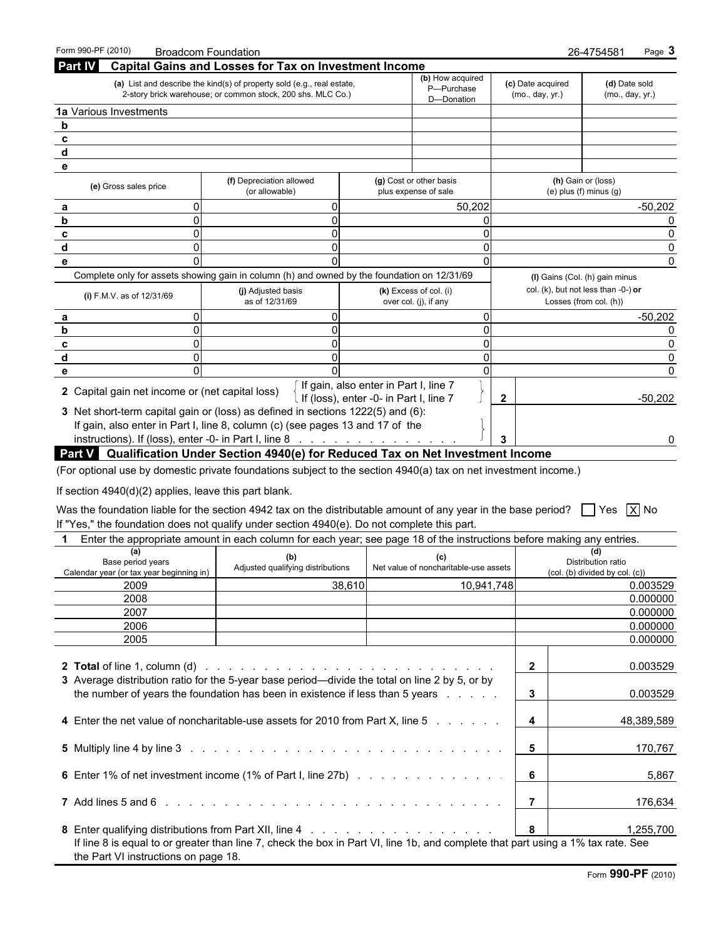| <b>Capital Gains and Losses for Tax on Investment Income</b><br>(b) How acquired<br>(a) List and describe the kind(s) of property sold (e.g., real estate,<br>(c) Date acquired<br>(d) Date sold<br>P-Purchase<br>2-story brick warehouse; or common stock, 200 shs. MLC Co.)<br>(mo., day, yr.)<br>(mo., day, yr.)<br>D-Donation<br>(f) Depreciation allowed<br>(g) Cost or other basis<br>(h) Gain or (loss)<br>(e) Gross sales price<br>plus expense of sale<br>$(e)$ plus $(f)$ minus $(g)$<br>(or allowable)<br>50.202<br>$-50,202$<br>Complete only for assets showing gain in column (h) and owned by the foundation on 12/31/69<br>(I) Gains (Col. (h) gain minus<br>col. (k), but not less than $-0$ -) or<br>(k) Excess of col. (i)<br>(j) Adjusted basis<br>(i) F.M.V. as of 12/31/69<br>as of 12/31/69<br>Losses (from col. (h))<br>over col. (j), if any<br>$-50,202$<br>If gain, also enter in Part I, line 7<br>2 Capital gain net income or (net capital loss)<br>If (loss), enter -0- in Part I, line 7<br>$-50,202$<br>$\mathbf{2}$<br>3 Net short-term capital gain or (loss) as defined in sections 1222(5) and (6):<br>If gain, also enter in Part I, line 8, column (c) (see pages 13 and 17 of the<br>instructions). If (loss), enter -0- in Part I, line 8 $\ldots$<br>3<br>$\Omega$<br>an V. Oughtication Under Costion 4040(s) for Deduced Toy on Net Investigation | Form 990-PF (2010)     | <b>Broadcom Foundation</b> |  |  | 26-4754581<br>Page 3 |  |
|-----------------------------------------------------------------------------------------------------------------------------------------------------------------------------------------------------------------------------------------------------------------------------------------------------------------------------------------------------------------------------------------------------------------------------------------------------------------------------------------------------------------------------------------------------------------------------------------------------------------------------------------------------------------------------------------------------------------------------------------------------------------------------------------------------------------------------------------------------------------------------------------------------------------------------------------------------------------------------------------------------------------------------------------------------------------------------------------------------------------------------------------------------------------------------------------------------------------------------------------------------------------------------------------------------------------------------------------------------------------------------------------------|------------------------|----------------------------|--|--|----------------------|--|
|                                                                                                                                                                                                                                                                                                                                                                                                                                                                                                                                                                                                                                                                                                                                                                                                                                                                                                                                                                                                                                                                                                                                                                                                                                                                                                                                                                                               | <b>Part IV</b>         |                            |  |  |                      |  |
|                                                                                                                                                                                                                                                                                                                                                                                                                                                                                                                                                                                                                                                                                                                                                                                                                                                                                                                                                                                                                                                                                                                                                                                                                                                                                                                                                                                               |                        |                            |  |  |                      |  |
|                                                                                                                                                                                                                                                                                                                                                                                                                                                                                                                                                                                                                                                                                                                                                                                                                                                                                                                                                                                                                                                                                                                                                                                                                                                                                                                                                                                               | 1a Various Investments |                            |  |  |                      |  |
|                                                                                                                                                                                                                                                                                                                                                                                                                                                                                                                                                                                                                                                                                                                                                                                                                                                                                                                                                                                                                                                                                                                                                                                                                                                                                                                                                                                               |                        |                            |  |  |                      |  |
|                                                                                                                                                                                                                                                                                                                                                                                                                                                                                                                                                                                                                                                                                                                                                                                                                                                                                                                                                                                                                                                                                                                                                                                                                                                                                                                                                                                               |                        |                            |  |  |                      |  |
|                                                                                                                                                                                                                                                                                                                                                                                                                                                                                                                                                                                                                                                                                                                                                                                                                                                                                                                                                                                                                                                                                                                                                                                                                                                                                                                                                                                               |                        |                            |  |  |                      |  |
|                                                                                                                                                                                                                                                                                                                                                                                                                                                                                                                                                                                                                                                                                                                                                                                                                                                                                                                                                                                                                                                                                                                                                                                                                                                                                                                                                                                               |                        |                            |  |  |                      |  |
|                                                                                                                                                                                                                                                                                                                                                                                                                                                                                                                                                                                                                                                                                                                                                                                                                                                                                                                                                                                                                                                                                                                                                                                                                                                                                                                                                                                               |                        |                            |  |  |                      |  |
|                                                                                                                                                                                                                                                                                                                                                                                                                                                                                                                                                                                                                                                                                                                                                                                                                                                                                                                                                                                                                                                                                                                                                                                                                                                                                                                                                                                               |                        |                            |  |  |                      |  |
|                                                                                                                                                                                                                                                                                                                                                                                                                                                                                                                                                                                                                                                                                                                                                                                                                                                                                                                                                                                                                                                                                                                                                                                                                                                                                                                                                                                               |                        |                            |  |  |                      |  |
|                                                                                                                                                                                                                                                                                                                                                                                                                                                                                                                                                                                                                                                                                                                                                                                                                                                                                                                                                                                                                                                                                                                                                                                                                                                                                                                                                                                               |                        |                            |  |  |                      |  |
|                                                                                                                                                                                                                                                                                                                                                                                                                                                                                                                                                                                                                                                                                                                                                                                                                                                                                                                                                                                                                                                                                                                                                                                                                                                                                                                                                                                               |                        |                            |  |  |                      |  |
|                                                                                                                                                                                                                                                                                                                                                                                                                                                                                                                                                                                                                                                                                                                                                                                                                                                                                                                                                                                                                                                                                                                                                                                                                                                                                                                                                                                               |                        |                            |  |  |                      |  |
|                                                                                                                                                                                                                                                                                                                                                                                                                                                                                                                                                                                                                                                                                                                                                                                                                                                                                                                                                                                                                                                                                                                                                                                                                                                                                                                                                                                               |                        |                            |  |  |                      |  |
|                                                                                                                                                                                                                                                                                                                                                                                                                                                                                                                                                                                                                                                                                                                                                                                                                                                                                                                                                                                                                                                                                                                                                                                                                                                                                                                                                                                               |                        |                            |  |  |                      |  |
|                                                                                                                                                                                                                                                                                                                                                                                                                                                                                                                                                                                                                                                                                                                                                                                                                                                                                                                                                                                                                                                                                                                                                                                                                                                                                                                                                                                               |                        |                            |  |  |                      |  |
|                                                                                                                                                                                                                                                                                                                                                                                                                                                                                                                                                                                                                                                                                                                                                                                                                                                                                                                                                                                                                                                                                                                                                                                                                                                                                                                                                                                               |                        |                            |  |  |                      |  |
|                                                                                                                                                                                                                                                                                                                                                                                                                                                                                                                                                                                                                                                                                                                                                                                                                                                                                                                                                                                                                                                                                                                                                                                                                                                                                                                                                                                               |                        |                            |  |  |                      |  |
|                                                                                                                                                                                                                                                                                                                                                                                                                                                                                                                                                                                                                                                                                                                                                                                                                                                                                                                                                                                                                                                                                                                                                                                                                                                                                                                                                                                               |                        |                            |  |  |                      |  |
|                                                                                                                                                                                                                                                                                                                                                                                                                                                                                                                                                                                                                                                                                                                                                                                                                                                                                                                                                                                                                                                                                                                                                                                                                                                                                                                                                                                               |                        |                            |  |  |                      |  |
|                                                                                                                                                                                                                                                                                                                                                                                                                                                                                                                                                                                                                                                                                                                                                                                                                                                                                                                                                                                                                                                                                                                                                                                                                                                                                                                                                                                               |                        |                            |  |  |                      |  |
|                                                                                                                                                                                                                                                                                                                                                                                                                                                                                                                                                                                                                                                                                                                                                                                                                                                                                                                                                                                                                                                                                                                                                                                                                                                                                                                                                                                               |                        |                            |  |  |                      |  |
|                                                                                                                                                                                                                                                                                                                                                                                                                                                                                                                                                                                                                                                                                                                                                                                                                                                                                                                                                                                                                                                                                                                                                                                                                                                                                                                                                                                               |                        |                            |  |  |                      |  |

#### **Part V Qualification Under Section 4940(e) for Reduced Tax on Net Investment Income**

(For optional use by domestic private foundations subject to the section 4940(a) tax on net investment income.)

If section 4940(d)(2) applies, leave this part blank.

Was the foundation liable for the section 4942 tax on the distributable amount of any year in the base period?  $\Box$  Yes  $\Box$  No If "Yes," the foundation does not qualify under section 4940(e). Do not complete this part.

|                                                                                                                                                                                                                                | Enter the appropriate amount in each column for each year; see page 18 of the instructions before making any entries.            |                                       |                         |                                                      |
|--------------------------------------------------------------------------------------------------------------------------------------------------------------------------------------------------------------------------------|----------------------------------------------------------------------------------------------------------------------------------|---------------------------------------|-------------------------|------------------------------------------------------|
| (a)<br>Base period years<br>Calendar year (or tax year beginning in)                                                                                                                                                           | (b)<br>Adjusted qualifying distributions                                                                                         | Net value of noncharitable-use assets |                         | Distribution ratio<br>(col. (b) divided by col. (c)) |
| 2009                                                                                                                                                                                                                           | 38,610                                                                                                                           | 10,941,748                            |                         | 0.003529                                             |
| 2008                                                                                                                                                                                                                           |                                                                                                                                  |                                       |                         | 0.000000                                             |
| 2007                                                                                                                                                                                                                           |                                                                                                                                  |                                       |                         | 0.000000                                             |
| 2006                                                                                                                                                                                                                           |                                                                                                                                  |                                       |                         | 0.000000                                             |
| 2005                                                                                                                                                                                                                           |                                                                                                                                  |                                       |                         | 0.000000                                             |
|                                                                                                                                                                                                                                |                                                                                                                                  |                                       | $\overline{2}$          | 0.003529                                             |
| 3 Average distribution ratio for the 5-year base period—divide the total on line 2 by 5, or by                                                                                                                                 | the number of years the foundation has been in existence if less than 5 years                                                    |                                       | 3                       | 0.003529                                             |
| 4 Enter the net value of noncharitable-use assets for 2010 from Part X, line 5                                                                                                                                                 |                                                                                                                                  |                                       | 4                       | 48,389,589                                           |
|                                                                                                                                                                                                                                |                                                                                                                                  |                                       | -5                      | 170,767                                              |
| 6 Enter 1% of net investment income (1% of Part I, line 27b)                                                                                                                                                                   |                                                                                                                                  |                                       | 6                       | 5,867                                                |
| 7 Add lines 5 and 6 in the contract of the contract of the contract of the contract of the contract of the contract of the contract of the contract of the contract of the contract of the contract of the contract of the con |                                                                                                                                  |                                       |                         | 176,634                                              |
|                                                                                                                                                                                                                                |                                                                                                                                  |                                       | $\overline{\mathbf{8}}$ | 1,255,700                                            |
| the Part VI instructions on page 18.                                                                                                                                                                                           | If line 8 is equal to or greater than line 7, check the box in Part VI, line 1b, and complete that part using a 1% tax rate. See |                                       |                         |                                                      |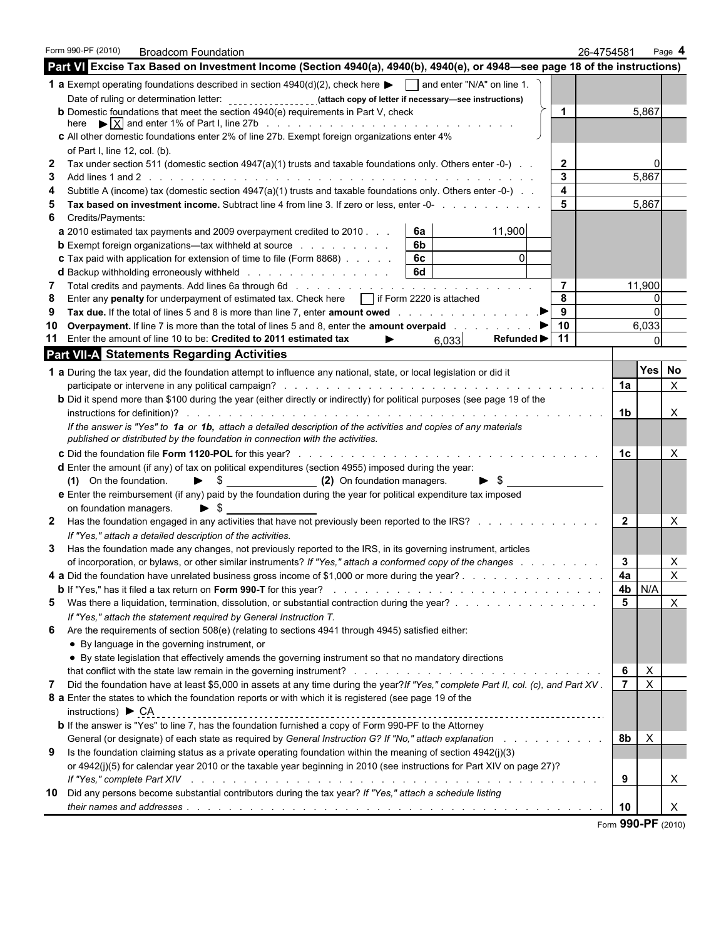|              | Form 990-PF (2010)                | <b>Broadcom Foundation</b>                                                                                                                                                                                                     |                                  |    |                                              |                | 26-4754581     |                           | Page 4         |  |
|--------------|-----------------------------------|--------------------------------------------------------------------------------------------------------------------------------------------------------------------------------------------------------------------------------|----------------------------------|----|----------------------------------------------|----------------|----------------|---------------------------|----------------|--|
|              |                                   | Part VI Excise Tax Based on Investment Income (Section 4940(a), 4940(b), 4940(e), or 4948-see page 18 of the instructions)                                                                                                     |                                  |    |                                              |                |                |                           |                |  |
|              |                                   | <b>1 a</b> Exempt operating foundations described in section $4940(d)(2)$ , check here $\blacksquare$ and enter "N/A" on line 1.                                                                                               |                                  |    |                                              |                |                |                           |                |  |
|              |                                   | Date of ruling or determination letter: _________________(attach copy of letter if necessary—see instructions)                                                                                                                 |                                  |    |                                              |                |                |                           |                |  |
|              |                                   | <b>b</b> Domestic foundations that meet the section 4940(e) requirements in Part V, check                                                                                                                                      |                                  |    |                                              | $\mathbf 1$    |                | 5,867                     |                |  |
|              |                                   |                                                                                                                                                                                                                                |                                  |    |                                              |                |                |                           |                |  |
|              |                                   | c All other domestic foundations enter 2% of line 27b. Exempt foreign organizations enter 4%                                                                                                                                   |                                  |    |                                              |                |                |                           |                |  |
|              | of Part I, line 12, col. (b).     |                                                                                                                                                                                                                                |                                  |    |                                              |                |                |                           |                |  |
| 2            |                                   | Tax under section 511 (domestic section 4947(a)(1) trusts and taxable foundations only. Others enter -0-) $\ldots$                                                                                                             |                                  |    |                                              | $\mathbf{2}$   |                |                           |                |  |
| 3            |                                   |                                                                                                                                                                                                                                |                                  |    |                                              | 3<br>4         |                | 5,867                     |                |  |
|              |                                   | Subtitle A (income) tax (domestic section 4947(a)(1) trusts and taxable foundations only. Others enter -0-)                                                                                                                    |                                  |    |                                              | 5              |                | 5,867                     |                |  |
| 6            | Credits/Payments:                 | Tax based on investment income. Subtract line 4 from line 3. If zero or less, enter -0-                                                                                                                                        |                                  |    |                                              |                |                |                           |                |  |
|              |                                   | a 2010 estimated tax payments and 2009 overpayment credited to 2010.                                                                                                                                                           |                                  | 6a | 11,900                                       |                |                |                           |                |  |
|              |                                   | <b>b</b> Exempt foreign organizations—tax withheld at source                                                                                                                                                                   |                                  | 6b |                                              |                |                |                           |                |  |
|              |                                   | <b>c</b> Tax paid with application for extension of time to file (Form 8868)                                                                                                                                                   |                                  | 6c |                                              |                |                |                           |                |  |
|              |                                   |                                                                                                                                                                                                                                |                                  | 6d |                                              |                |                |                           |                |  |
| 7            |                                   |                                                                                                                                                                                                                                |                                  |    |                                              | $\overline{7}$ |                | 11,900                    |                |  |
| 8            |                                   | Enter any penalty for underpayment of estimated tax. Check here   if Form 2220 is attached                                                                                                                                     |                                  |    |                                              | 8              |                |                           |                |  |
| 9            |                                   |                                                                                                                                                                                                                                |                                  |    |                                              | 9              |                |                           |                |  |
| 10           |                                   | <b>Overpayment.</b> If line 7 is more than the total of lines 5 and 8, enter the <b>amount overpaid</b>                                                                                                                        |                                  |    |                                              | 10             |                | 6,033                     |                |  |
|              |                                   | 11 Enter the amount of line 10 to be: Credited to 2011 estimated tax                                                                                                                                                           | ▶                                |    | Refunded $\blacktriangleright$   11<br>6,033 |                |                |                           |                |  |
|              |                                   | <b>Part VII-A Statements Regarding Activities</b>                                                                                                                                                                              |                                  |    |                                              |                |                |                           |                |  |
|              |                                   | 1 a During the tax year, did the foundation attempt to influence any national, state, or local legislation or did it                                                                                                           |                                  |    |                                              |                |                | Yes No                    |                |  |
|              |                                   |                                                                                                                                                                                                                                |                                  |    |                                              |                | 1a             |                           | $\mathsf{X}$   |  |
|              |                                   | <b>b</b> Did it spend more than \$100 during the year (either directly or indirectly) for political purposes (see page 19 of the                                                                                               |                                  |    |                                              |                |                |                           |                |  |
|              |                                   |                                                                                                                                                                                                                                |                                  |    |                                              |                | 1 <sub>b</sub> |                           | X              |  |
|              |                                   | If the answer is "Yes" to 1a or 1b, attach a detailed description of the activities and copies of any materials                                                                                                                |                                  |    |                                              |                |                |                           |                |  |
|              |                                   | published or distributed by the foundation in connection with the activities.                                                                                                                                                  |                                  |    |                                              |                |                |                           |                |  |
|              |                                   |                                                                                                                                                                                                                                |                                  |    |                                              |                | 1с.            |                           | Χ              |  |
|              |                                   | d Enter the amount (if any) of tax on political expenditures (section 4955) imposed during the year:                                                                                                                           |                                  |    |                                              |                |                |                           |                |  |
|              | (1) On the foundation.            |                                                                                                                                                                                                                                | S \$ (2) On foundation managers. |    | $\blacktriangleright$ \$                     |                |                |                           |                |  |
|              |                                   | e Enter the reimbursement (if any) paid by the foundation during the year for political expenditure tax imposed                                                                                                                |                                  |    |                                              |                |                |                           |                |  |
|              | on foundation managers.           | $\blacktriangleright$ s                                                                                                                                                                                                        |                                  |    |                                              |                |                |                           |                |  |
| $\mathbf{2}$ |                                   | Has the foundation engaged in any activities that have not previously been reported to the IRS?                                                                                                                                |                                  |    |                                              |                | $\overline{2}$ |                           | х              |  |
|              |                                   | If "Yes," attach a detailed description of the activities.                                                                                                                                                                     |                                  |    |                                              |                |                |                           |                |  |
| 3            |                                   | Has the foundation made any changes, not previously reported to the IRS, in its governing instrument, articles                                                                                                                 |                                  |    |                                              |                |                |                           |                |  |
|              |                                   | of incorporation, or bylaws, or other similar instruments? If "Yes," attach a conformed copy of the changes                                                                                                                    |                                  |    |                                              |                | 3              |                           | X              |  |
|              |                                   | 4 a Did the foundation have unrelated business gross income of \$1,000 or more during the year?                                                                                                                                |                                  |    |                                              |                | 4a             |                           | $\mathsf{X}$   |  |
|              |                                   |                                                                                                                                                                                                                                |                                  |    |                                              |                | 4b             | N/A                       |                |  |
| 5.           |                                   | Was there a liquidation, termination, dissolution, or substantial contraction during the year?                                                                                                                                 |                                  |    |                                              |                | 5              |                           | $\pmb{\times}$ |  |
|              |                                   | If "Yes," attach the statement required by General Instruction T.                                                                                                                                                              |                                  |    |                                              |                |                |                           |                |  |
| 6            |                                   | Are the requirements of section 508(e) (relating to sections 4941 through 4945) satisfied either:                                                                                                                              |                                  |    |                                              |                |                |                           |                |  |
|              |                                   | • By language in the governing instrument, or                                                                                                                                                                                  |                                  |    |                                              |                |                |                           |                |  |
|              |                                   | • By state legislation that effectively amends the governing instrument so that no mandatory directions                                                                                                                        |                                  |    |                                              |                | 6              | X                         |                |  |
| 7            |                                   | Did the foundation have at least \$5,000 in assets at any time during the year?If "Yes," complete Part II, col. (c), and Part XV.                                                                                              |                                  |    |                                              |                | $\overline{7}$ | X                         |                |  |
|              |                                   | 8 a Enter the states to which the foundation reports or with which it is registered (see page 19 of the                                                                                                                        |                                  |    |                                              |                |                |                           |                |  |
|              | instructions) $\triangleright$ CA |                                                                                                                                                                                                                                |                                  |    |                                              |                |                |                           |                |  |
|              |                                   | <b>b</b> If the answer is "Yes" to line 7, has the foundation furnished a copy of Form 990-PF to the Attorney                                                                                                                  |                                  |    |                                              |                |                |                           |                |  |
|              |                                   | General (or designate) of each state as required by General Instruction G? If "No," attach explanation with the state of each state of the state of the Seneral Analysis of the state of the state of the Seneral Analysis of  |                                  |    |                                              |                | 8b             | $\boldsymbol{\mathsf{X}}$ |                |  |
| 9            |                                   | Is the foundation claiming status as a private operating foundation within the meaning of section $4942(j)(3)$                                                                                                                 |                                  |    |                                              |                |                |                           |                |  |
|              |                                   | or 4942(j)(5) for calendar year 2010 or the taxable year beginning in 2010 (see instructions for Part XIV on page 27)?                                                                                                         |                                  |    |                                              |                |                |                           |                |  |
|              |                                   | If "Yes," complete Part XIV respectively and the contract of the contract of the contract of the contract of the contract of the contract of the contract of the contract of the contract of the contract of the contract of t |                                  |    |                                              |                | 9              |                           | X.             |  |
| 10           |                                   | Did any persons become substantial contributors during the tax year? If "Yes," attach a schedule listing                                                                                                                       |                                  |    |                                              |                |                |                           |                |  |
|              |                                   |                                                                                                                                                                                                                                |                                  |    |                                              |                | 10             |                           | X.             |  |
|              |                                   |                                                                                                                                                                                                                                |                                  |    |                                              |                |                |                           |                |  |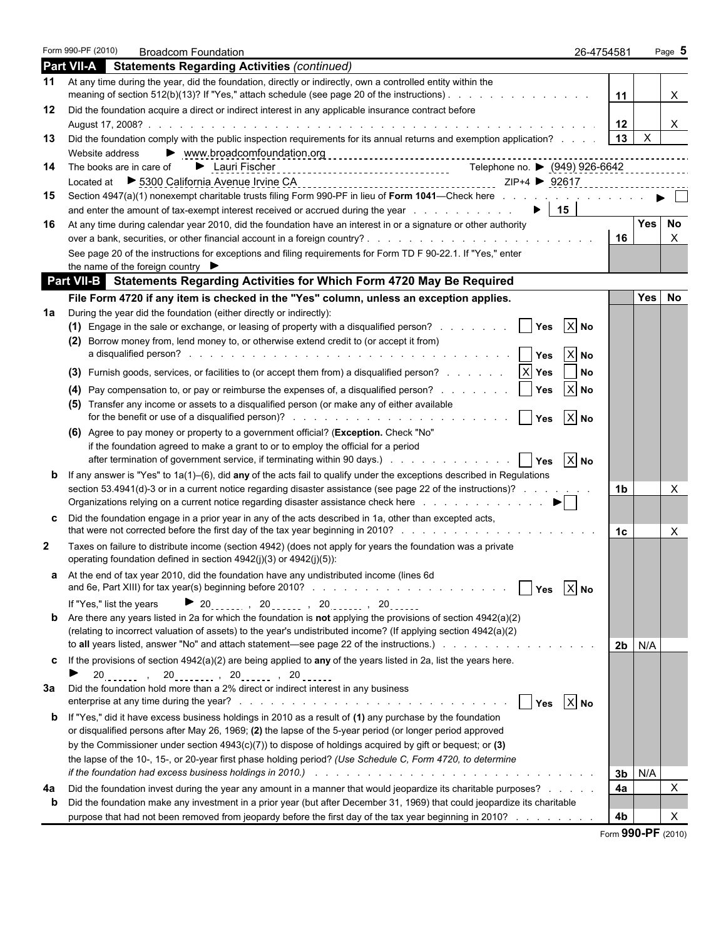|              | Form 990-PF (2010)                          | <b>Broadcom Foundation</b>                                                                                                                                                                                                                                                                                                                                                            |                                    | 26-4754581 |                           | Page 5              |
|--------------|---------------------------------------------|---------------------------------------------------------------------------------------------------------------------------------------------------------------------------------------------------------------------------------------------------------------------------------------------------------------------------------------------------------------------------------------|------------------------------------|------------|---------------------------|---------------------|
|              |                                             | <b>Part VII-A</b> Statements Regarding Activities (continued)                                                                                                                                                                                                                                                                                                                         |                                    |            |                           |                     |
| 11           |                                             | At any time during the year, did the foundation, directly or indirectly, own a controlled entity within the<br>meaning of section 512(b)(13)? If "Yes," attach schedule (see page 20 of the instructions).                                                                                                                                                                            |                                    | 11         |                           | X                   |
| 12           |                                             | Did the foundation acquire a direct or indirect interest in any applicable insurance contract before                                                                                                                                                                                                                                                                                  |                                    |            |                           | X                   |
| 13           |                                             | Did the foundation comply with the public inspection requirements for its annual returns and exemption application?   13                                                                                                                                                                                                                                                              |                                    |            | $\boldsymbol{\mathsf{X}}$ |                     |
| 14           | Website address<br>The books are in care of |                                                                                                                                                                                                                                                                                                                                                                                       |                                    |            |                           |                     |
| 15           |                                             | Section 4947(a)(1) nonexempt charitable trusts filing Form 990-PF in lieu of Form 1041—Check here with the state of the state of Form 1041—Check here with the state of the state of the state of the state of the state of th                                                                                                                                                        |                                    |            |                           |                     |
| 16           |                                             | and enter the amount of tax-exempt interest received or accrued during the year enter-<br>At any time during calendar year 2010, did the foundation have an interest in or a signature or other authority                                                                                                                                                                             | $\blacktriangleright$   15         |            | Yes                       | <b>No</b>           |
|              |                                             |                                                                                                                                                                                                                                                                                                                                                                                       |                                    | 16         |                           | X                   |
|              |                                             | See page 20 of the instructions for exceptions and filing requirements for Form TD F 90-22.1. If "Yes," enter<br>the name of the foreign country $\blacktriangleright$                                                                                                                                                                                                                |                                    |            |                           |                     |
|              |                                             | <b>Part VII-B</b> Statements Regarding Activities for Which Form 4720 May Be Required                                                                                                                                                                                                                                                                                                 |                                    |            |                           |                     |
|              |                                             | File Form 4720 if any item is checked in the "Yes" column, unless an exception applies.                                                                                                                                                                                                                                                                                               |                                    |            | Yes                       | No                  |
| 1a           |                                             | During the year did the foundation (either directly or indirectly):                                                                                                                                                                                                                                                                                                                   |                                    |            |                           |                     |
|              | (2)                                         | (1) Engage in the sale or exchange, or leasing of property with a disqualified person? $\ldots \ldots$<br>Borrow money from, lend money to, or otherwise extend credit to (or accept it from)                                                                                                                                                                                         | $X$ No<br>Yes<br>$X$ No            |            |                           |                     |
|              |                                             |                                                                                                                                                                                                                                                                                                                                                                                       | No                                 |            |                           |                     |
|              | (4)                                         | Pay compensation to, or pay or reimburse the expenses of, a disqualified person?<br>(5) Transfer any income or assets to a disqualified person (or make any of either available                                                                                                                                                                                                       | $ X $ No<br>Yes<br>$ X $ No<br>Yes |            |                           |                     |
|              |                                             | (6) Agree to pay money or property to a government official? (Exception. Check "No"<br>if the foundation agreed to make a grant to or to employ the official for a period<br>after termination of government service, if terminating within 90 days.) All Allen Lands and Lands and H                                                                                                 | $ X $ No<br>Yes                    |            |                           |                     |
| b            |                                             | If any answer is "Yes" to $1a(1)$ –(6), did any of the acts fail to qualify under the exceptions described in Regulations<br>section 53.4941(d)-3 or in a current notice regarding disaster assistance (see page 22 of the instructions)?<br>Organizations relying on a current notice regarding disaster assistance check here entitled as a set of the set of $\blacktriangleright$ |                                    | 1b         |                           | X                   |
| C.           |                                             | Did the foundation engage in a prior year in any of the acts described in 1a, other than excepted acts,                                                                                                                                                                                                                                                                               |                                    | 1c         |                           | X                   |
| $\mathbf{2}$ |                                             | Taxes on failure to distribute income (section 4942) (does not apply for years the foundation was a private<br>operating foundation defined in section 4942(j)(3) or 4942(j)(5)):                                                                                                                                                                                                     |                                    |            |                           |                     |
|              |                                             | a At the end of tax year 2010, did the foundation have any undistributed income (lines 6d<br>and 6e, Part XIII) for tax year(s) beginning before 2010?                                                                                                                                                                                                                                | $X$ No<br>Yes                      |            |                           |                     |
|              | If "Yes," list the years                    | <b>20</b> , 20, 20, 20, 20                                                                                                                                                                                                                                                                                                                                                            |                                    |            |                           |                     |
|              |                                             | <b>b</b> Are there any years listed in 2a for which the foundation is <b>not</b> applying the provisions of section $4942(a)(2)$<br>(relating to incorrect valuation of assets) to the year's undistributed income? (If applying section 4942(a)(2)<br>to all years listed, answer "No" and attach statement—see page 22 of the instructions.)                                        |                                    |            | <b>2b</b>   N/A           |                     |
| C            |                                             | If the provisions of section $4942(a)(2)$ are being applied to any of the years listed in 2a, list the years here.<br>$20_{\text{max}}$ , $20_{\text{max}}$ , $20_{\text{max}}$ , $20_{\text{max}}$ , $20_{\text{max}}$                                                                                                                                                               |                                    |            |                           |                     |
| За           |                                             | Did the foundation hold more than a 2% direct or indirect interest in any business<br>$\mathbf{I}$                                                                                                                                                                                                                                                                                    | $X$ No<br>Yes                      |            |                           |                     |
| b            |                                             | If "Yes," did it have excess business holdings in 2010 as a result of (1) any purchase by the foundation<br>or disqualified persons after May 26, 1969; (2) the lapse of the 5-year period (or longer period approved                                                                                                                                                                 |                                    |            |                           |                     |
|              |                                             | by the Commissioner under section $4943(c)(7)$ ) to dispose of holdings acquired by gift or bequest; or (3)                                                                                                                                                                                                                                                                           |                                    |            |                           |                     |
|              |                                             | the lapse of the 10-, 15-, or 20-year first phase holding period? (Use Schedule C, Form 4720, to determine<br>if the foundation had excess business holdings in 2010.) And State Assemblance Assemblance Contact the foundation had excess business holdings in 2010.                                                                                                                 |                                    | 3b         | N/A                       |                     |
| 4a<br>b      |                                             | Did the foundation invest during the year any amount in a manner that would jeopardize its charitable purposes?<br>Did the foundation make any investment in a prior year (but after December 31, 1969) that could jeopardize its charitable<br>purpose that had not been removed from jeopardy before the first day of the tax year beginning in 2010?                               |                                    | 4a<br>4b   |                           | $\pmb{\times}$<br>Х |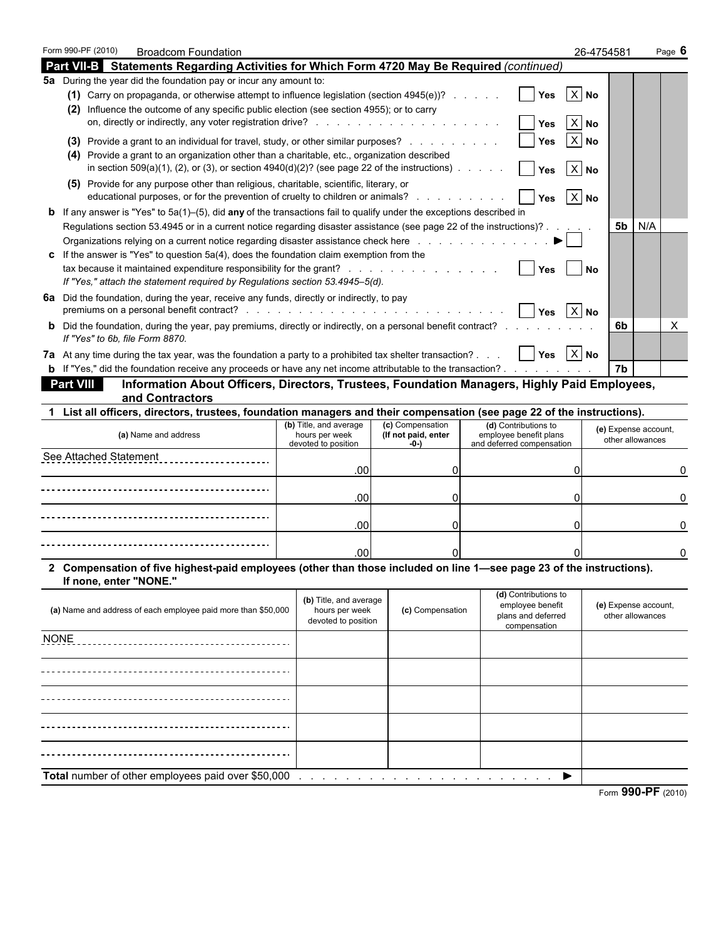| Part VII-B Statements Regarding Activities for Which Form 4720 May Be Required (continued)<br>$X$ No<br>(1) Carry on propaganda, or otherwise attempt to influence legislation (section 4945(e))?<br><b>Yes</b><br>(2) Influence the outcome of any specific public election (see section 4955); or to carry<br>$\boldsymbol{\mathsf{X}}$<br><b>No</b><br>Yes<br>X No<br>(3) Provide a grant to an individual for travel, study, or other similar purposes?<br>Yes<br>(4) Provide a grant to an organization other than a charitable, etc., organization described<br>in section $509(a)(1)$ , (2), or (3), or section $4940(d)(2)$ ? (see page 22 of the instructions)<br>$X$ No<br>(5) Provide for any purpose other than religious, charitable, scientific, literary, or<br>educational purposes, or for the prevention of cruelty to children or animals?<br>$X$ No<br><b>b</b> If any answer is "Yes" to $5a(1)$ –(5), did any of the transactions fail to qualify under the exceptions described in<br>$5b$   N/A<br>Regulations section 53.4945 or in a current notice regarding disaster assistance (see page 22 of the instructions)? .<br>Organizations relying on a current notice regarding disaster assistance check here entitled as a contact of the<br>c If the answer is "Yes" to question $5a(4)$ , does the foundation claim exemption from the<br>No<br><b>Yes</b><br>If "Yes," attach the statement required by Regulations section 53.4945-5(d).<br>premiums on a personal benefit contract? (e.g. by a series of example and example and example and example and $\alpha$<br>$X$ No<br>Yes<br><b>b</b> Did the foundation, during the year, pay premiums, directly or indirectly, on a personal benefit contract?<br>х<br>6b.<br>If "Yes" to 6b, file Form 8870.<br>$ X $ No<br>Yes<br><b>b</b> If "Yes," did the foundation receive any proceeds or have any net income attributable to the transaction?<br>7b<br>Information About Officers, Directors, Trustees, Foundation Managers, Highly Paid Employees,<br><b>Part VIII</b><br>and Contractors<br>1 List all officers, directors, trustees, foundation managers and their compensation (see page 22 of the instructions).<br>(c) Compensation<br>(b) Title, and average<br>(d) Contributions to<br>(e) Expense account,<br>(a) Name and address<br>(If not paid, enter<br>employee benefit plans<br>hours per week<br>other allowances<br>and deferred compensation<br>devoted to position<br>-0-)<br>.00<br>0<br>.00<br>$\Omega$<br>0<br>.00<br>0<br>0<br>.00<br>O<br>2 Compensation of five highest-paid employees (other than those included on line 1—see page 23 of the instructions).<br>If none, enter "NONE."<br>(d) Contributions to<br>(b) Title, and average<br>(e) Expense account,<br>employee benefit<br>(a) Name and address of each employee paid more than \$50,000<br>(c) Compensation<br>hours per week<br>plans and deferred<br>other allowances<br>devoted to position<br>compensation<br>▶ |  | Form 990-PF (2010) | <b>Broadcom Foundation</b> |  |  | 26-4754581<br>Page 6 |
|-------------------------------------------------------------------------------------------------------------------------------------------------------------------------------------------------------------------------------------------------------------------------------------------------------------------------------------------------------------------------------------------------------------------------------------------------------------------------------------------------------------------------------------------------------------------------------------------------------------------------------------------------------------------------------------------------------------------------------------------------------------------------------------------------------------------------------------------------------------------------------------------------------------------------------------------------------------------------------------------------------------------------------------------------------------------------------------------------------------------------------------------------------------------------------------------------------------------------------------------------------------------------------------------------------------------------------------------------------------------------------------------------------------------------------------------------------------------------------------------------------------------------------------------------------------------------------------------------------------------------------------------------------------------------------------------------------------------------------------------------------------------------------------------------------------------------------------------------------------------------------------------------------------------------------------------------------------------------------------------------------------------------------------------------------------------------------------------------------------------------------------------------------------------------------------------------------------------------------------------------------------------------------------------------------------------------------------------------------------------------------------------------------------------------------------------------------------------------------------------------------------------------------------------------------------------------------------------------------------------------------------------------------------------------------------------------------------------------------------------------------------------------------------------------------------------------------------------------------------------------------------------------------------------------------------------------------------------------------------------------|--|--------------------|----------------------------|--|--|----------------------|
| 5a During the year did the foundation pay or incur any amount to:<br>6a Did the foundation, during the year, receive any funds, directly or indirectly, to pay<br>7a At any time during the tax year, was the foundation a party to a prohibited tax shelter transaction?<br>See Attached Statement<br><b>NONE</b><br>Total number of other employees paid over \$50,000                                                                                                                                                                                                                                                                                                                                                                                                                                                                                                                                                                                                                                                                                                                                                                                                                                                                                                                                                                                                                                                                                                                                                                                                                                                                                                                                                                                                                                                                                                                                                                                                                                                                                                                                                                                                                                                                                                                                                                                                                                                                                                                                                                                                                                                                                                                                                                                                                                                                                                                                                                                                                        |  |                    |                            |  |  |                      |
|                                                                                                                                                                                                                                                                                                                                                                                                                                                                                                                                                                                                                                                                                                                                                                                                                                                                                                                                                                                                                                                                                                                                                                                                                                                                                                                                                                                                                                                                                                                                                                                                                                                                                                                                                                                                                                                                                                                                                                                                                                                                                                                                                                                                                                                                                                                                                                                                                                                                                                                                                                                                                                                                                                                                                                                                                                                                                                                                                                                                 |  |                    |                            |  |  |                      |
|                                                                                                                                                                                                                                                                                                                                                                                                                                                                                                                                                                                                                                                                                                                                                                                                                                                                                                                                                                                                                                                                                                                                                                                                                                                                                                                                                                                                                                                                                                                                                                                                                                                                                                                                                                                                                                                                                                                                                                                                                                                                                                                                                                                                                                                                                                                                                                                                                                                                                                                                                                                                                                                                                                                                                                                                                                                                                                                                                                                                 |  |                    |                            |  |  |                      |
|                                                                                                                                                                                                                                                                                                                                                                                                                                                                                                                                                                                                                                                                                                                                                                                                                                                                                                                                                                                                                                                                                                                                                                                                                                                                                                                                                                                                                                                                                                                                                                                                                                                                                                                                                                                                                                                                                                                                                                                                                                                                                                                                                                                                                                                                                                                                                                                                                                                                                                                                                                                                                                                                                                                                                                                                                                                                                                                                                                                                 |  |                    |                            |  |  |                      |
|                                                                                                                                                                                                                                                                                                                                                                                                                                                                                                                                                                                                                                                                                                                                                                                                                                                                                                                                                                                                                                                                                                                                                                                                                                                                                                                                                                                                                                                                                                                                                                                                                                                                                                                                                                                                                                                                                                                                                                                                                                                                                                                                                                                                                                                                                                                                                                                                                                                                                                                                                                                                                                                                                                                                                                                                                                                                                                                                                                                                 |  |                    |                            |  |  |                      |
|                                                                                                                                                                                                                                                                                                                                                                                                                                                                                                                                                                                                                                                                                                                                                                                                                                                                                                                                                                                                                                                                                                                                                                                                                                                                                                                                                                                                                                                                                                                                                                                                                                                                                                                                                                                                                                                                                                                                                                                                                                                                                                                                                                                                                                                                                                                                                                                                                                                                                                                                                                                                                                                                                                                                                                                                                                                                                                                                                                                                 |  |                    |                            |  |  |                      |
|                                                                                                                                                                                                                                                                                                                                                                                                                                                                                                                                                                                                                                                                                                                                                                                                                                                                                                                                                                                                                                                                                                                                                                                                                                                                                                                                                                                                                                                                                                                                                                                                                                                                                                                                                                                                                                                                                                                                                                                                                                                                                                                                                                                                                                                                                                                                                                                                                                                                                                                                                                                                                                                                                                                                                                                                                                                                                                                                                                                                 |  |                    |                            |  |  |                      |
|                                                                                                                                                                                                                                                                                                                                                                                                                                                                                                                                                                                                                                                                                                                                                                                                                                                                                                                                                                                                                                                                                                                                                                                                                                                                                                                                                                                                                                                                                                                                                                                                                                                                                                                                                                                                                                                                                                                                                                                                                                                                                                                                                                                                                                                                                                                                                                                                                                                                                                                                                                                                                                                                                                                                                                                                                                                                                                                                                                                                 |  |                    |                            |  |  |                      |
|                                                                                                                                                                                                                                                                                                                                                                                                                                                                                                                                                                                                                                                                                                                                                                                                                                                                                                                                                                                                                                                                                                                                                                                                                                                                                                                                                                                                                                                                                                                                                                                                                                                                                                                                                                                                                                                                                                                                                                                                                                                                                                                                                                                                                                                                                                                                                                                                                                                                                                                                                                                                                                                                                                                                                                                                                                                                                                                                                                                                 |  |                    |                            |  |  |                      |
|                                                                                                                                                                                                                                                                                                                                                                                                                                                                                                                                                                                                                                                                                                                                                                                                                                                                                                                                                                                                                                                                                                                                                                                                                                                                                                                                                                                                                                                                                                                                                                                                                                                                                                                                                                                                                                                                                                                                                                                                                                                                                                                                                                                                                                                                                                                                                                                                                                                                                                                                                                                                                                                                                                                                                                                                                                                                                                                                                                                                 |  |                    |                            |  |  |                      |
|                                                                                                                                                                                                                                                                                                                                                                                                                                                                                                                                                                                                                                                                                                                                                                                                                                                                                                                                                                                                                                                                                                                                                                                                                                                                                                                                                                                                                                                                                                                                                                                                                                                                                                                                                                                                                                                                                                                                                                                                                                                                                                                                                                                                                                                                                                                                                                                                                                                                                                                                                                                                                                                                                                                                                                                                                                                                                                                                                                                                 |  |                    |                            |  |  |                      |
|                                                                                                                                                                                                                                                                                                                                                                                                                                                                                                                                                                                                                                                                                                                                                                                                                                                                                                                                                                                                                                                                                                                                                                                                                                                                                                                                                                                                                                                                                                                                                                                                                                                                                                                                                                                                                                                                                                                                                                                                                                                                                                                                                                                                                                                                                                                                                                                                                                                                                                                                                                                                                                                                                                                                                                                                                                                                                                                                                                                                 |  |                    |                            |  |  |                      |
|                                                                                                                                                                                                                                                                                                                                                                                                                                                                                                                                                                                                                                                                                                                                                                                                                                                                                                                                                                                                                                                                                                                                                                                                                                                                                                                                                                                                                                                                                                                                                                                                                                                                                                                                                                                                                                                                                                                                                                                                                                                                                                                                                                                                                                                                                                                                                                                                                                                                                                                                                                                                                                                                                                                                                                                                                                                                                                                                                                                                 |  |                    |                            |  |  |                      |
|                                                                                                                                                                                                                                                                                                                                                                                                                                                                                                                                                                                                                                                                                                                                                                                                                                                                                                                                                                                                                                                                                                                                                                                                                                                                                                                                                                                                                                                                                                                                                                                                                                                                                                                                                                                                                                                                                                                                                                                                                                                                                                                                                                                                                                                                                                                                                                                                                                                                                                                                                                                                                                                                                                                                                                                                                                                                                                                                                                                                 |  |                    |                            |  |  |                      |
|                                                                                                                                                                                                                                                                                                                                                                                                                                                                                                                                                                                                                                                                                                                                                                                                                                                                                                                                                                                                                                                                                                                                                                                                                                                                                                                                                                                                                                                                                                                                                                                                                                                                                                                                                                                                                                                                                                                                                                                                                                                                                                                                                                                                                                                                                                                                                                                                                                                                                                                                                                                                                                                                                                                                                                                                                                                                                                                                                                                                 |  |                    |                            |  |  |                      |
|                                                                                                                                                                                                                                                                                                                                                                                                                                                                                                                                                                                                                                                                                                                                                                                                                                                                                                                                                                                                                                                                                                                                                                                                                                                                                                                                                                                                                                                                                                                                                                                                                                                                                                                                                                                                                                                                                                                                                                                                                                                                                                                                                                                                                                                                                                                                                                                                                                                                                                                                                                                                                                                                                                                                                                                                                                                                                                                                                                                                 |  |                    |                            |  |  |                      |
|                                                                                                                                                                                                                                                                                                                                                                                                                                                                                                                                                                                                                                                                                                                                                                                                                                                                                                                                                                                                                                                                                                                                                                                                                                                                                                                                                                                                                                                                                                                                                                                                                                                                                                                                                                                                                                                                                                                                                                                                                                                                                                                                                                                                                                                                                                                                                                                                                                                                                                                                                                                                                                                                                                                                                                                                                                                                                                                                                                                                 |  |                    |                            |  |  |                      |
|                                                                                                                                                                                                                                                                                                                                                                                                                                                                                                                                                                                                                                                                                                                                                                                                                                                                                                                                                                                                                                                                                                                                                                                                                                                                                                                                                                                                                                                                                                                                                                                                                                                                                                                                                                                                                                                                                                                                                                                                                                                                                                                                                                                                                                                                                                                                                                                                                                                                                                                                                                                                                                                                                                                                                                                                                                                                                                                                                                                                 |  |                    |                            |  |  |                      |
|                                                                                                                                                                                                                                                                                                                                                                                                                                                                                                                                                                                                                                                                                                                                                                                                                                                                                                                                                                                                                                                                                                                                                                                                                                                                                                                                                                                                                                                                                                                                                                                                                                                                                                                                                                                                                                                                                                                                                                                                                                                                                                                                                                                                                                                                                                                                                                                                                                                                                                                                                                                                                                                                                                                                                                                                                                                                                                                                                                                                 |  |                    |                            |  |  |                      |
|                                                                                                                                                                                                                                                                                                                                                                                                                                                                                                                                                                                                                                                                                                                                                                                                                                                                                                                                                                                                                                                                                                                                                                                                                                                                                                                                                                                                                                                                                                                                                                                                                                                                                                                                                                                                                                                                                                                                                                                                                                                                                                                                                                                                                                                                                                                                                                                                                                                                                                                                                                                                                                                                                                                                                                                                                                                                                                                                                                                                 |  |                    |                            |  |  |                      |
|                                                                                                                                                                                                                                                                                                                                                                                                                                                                                                                                                                                                                                                                                                                                                                                                                                                                                                                                                                                                                                                                                                                                                                                                                                                                                                                                                                                                                                                                                                                                                                                                                                                                                                                                                                                                                                                                                                                                                                                                                                                                                                                                                                                                                                                                                                                                                                                                                                                                                                                                                                                                                                                                                                                                                                                                                                                                                                                                                                                                 |  |                    |                            |  |  |                      |
|                                                                                                                                                                                                                                                                                                                                                                                                                                                                                                                                                                                                                                                                                                                                                                                                                                                                                                                                                                                                                                                                                                                                                                                                                                                                                                                                                                                                                                                                                                                                                                                                                                                                                                                                                                                                                                                                                                                                                                                                                                                                                                                                                                                                                                                                                                                                                                                                                                                                                                                                                                                                                                                                                                                                                                                                                                                                                                                                                                                                 |  |                    |                            |  |  |                      |
|                                                                                                                                                                                                                                                                                                                                                                                                                                                                                                                                                                                                                                                                                                                                                                                                                                                                                                                                                                                                                                                                                                                                                                                                                                                                                                                                                                                                                                                                                                                                                                                                                                                                                                                                                                                                                                                                                                                                                                                                                                                                                                                                                                                                                                                                                                                                                                                                                                                                                                                                                                                                                                                                                                                                                                                                                                                                                                                                                                                                 |  |                    |                            |  |  |                      |
|                                                                                                                                                                                                                                                                                                                                                                                                                                                                                                                                                                                                                                                                                                                                                                                                                                                                                                                                                                                                                                                                                                                                                                                                                                                                                                                                                                                                                                                                                                                                                                                                                                                                                                                                                                                                                                                                                                                                                                                                                                                                                                                                                                                                                                                                                                                                                                                                                                                                                                                                                                                                                                                                                                                                                                                                                                                                                                                                                                                                 |  |                    |                            |  |  |                      |
|                                                                                                                                                                                                                                                                                                                                                                                                                                                                                                                                                                                                                                                                                                                                                                                                                                                                                                                                                                                                                                                                                                                                                                                                                                                                                                                                                                                                                                                                                                                                                                                                                                                                                                                                                                                                                                                                                                                                                                                                                                                                                                                                                                                                                                                                                                                                                                                                                                                                                                                                                                                                                                                                                                                                                                                                                                                                                                                                                                                                 |  |                    |                            |  |  |                      |
|                                                                                                                                                                                                                                                                                                                                                                                                                                                                                                                                                                                                                                                                                                                                                                                                                                                                                                                                                                                                                                                                                                                                                                                                                                                                                                                                                                                                                                                                                                                                                                                                                                                                                                                                                                                                                                                                                                                                                                                                                                                                                                                                                                                                                                                                                                                                                                                                                                                                                                                                                                                                                                                                                                                                                                                                                                                                                                                                                                                                 |  |                    |                            |  |  |                      |
|                                                                                                                                                                                                                                                                                                                                                                                                                                                                                                                                                                                                                                                                                                                                                                                                                                                                                                                                                                                                                                                                                                                                                                                                                                                                                                                                                                                                                                                                                                                                                                                                                                                                                                                                                                                                                                                                                                                                                                                                                                                                                                                                                                                                                                                                                                                                                                                                                                                                                                                                                                                                                                                                                                                                                                                                                                                                                                                                                                                                 |  |                    |                            |  |  |                      |
|                                                                                                                                                                                                                                                                                                                                                                                                                                                                                                                                                                                                                                                                                                                                                                                                                                                                                                                                                                                                                                                                                                                                                                                                                                                                                                                                                                                                                                                                                                                                                                                                                                                                                                                                                                                                                                                                                                                                                                                                                                                                                                                                                                                                                                                                                                                                                                                                                                                                                                                                                                                                                                                                                                                                                                                                                                                                                                                                                                                                 |  |                    |                            |  |  |                      |
|                                                                                                                                                                                                                                                                                                                                                                                                                                                                                                                                                                                                                                                                                                                                                                                                                                                                                                                                                                                                                                                                                                                                                                                                                                                                                                                                                                                                                                                                                                                                                                                                                                                                                                                                                                                                                                                                                                                                                                                                                                                                                                                                                                                                                                                                                                                                                                                                                                                                                                                                                                                                                                                                                                                                                                                                                                                                                                                                                                                                 |  |                    |                            |  |  |                      |
|                                                                                                                                                                                                                                                                                                                                                                                                                                                                                                                                                                                                                                                                                                                                                                                                                                                                                                                                                                                                                                                                                                                                                                                                                                                                                                                                                                                                                                                                                                                                                                                                                                                                                                                                                                                                                                                                                                                                                                                                                                                                                                                                                                                                                                                                                                                                                                                                                                                                                                                                                                                                                                                                                                                                                                                                                                                                                                                                                                                                 |  |                    |                            |  |  |                      |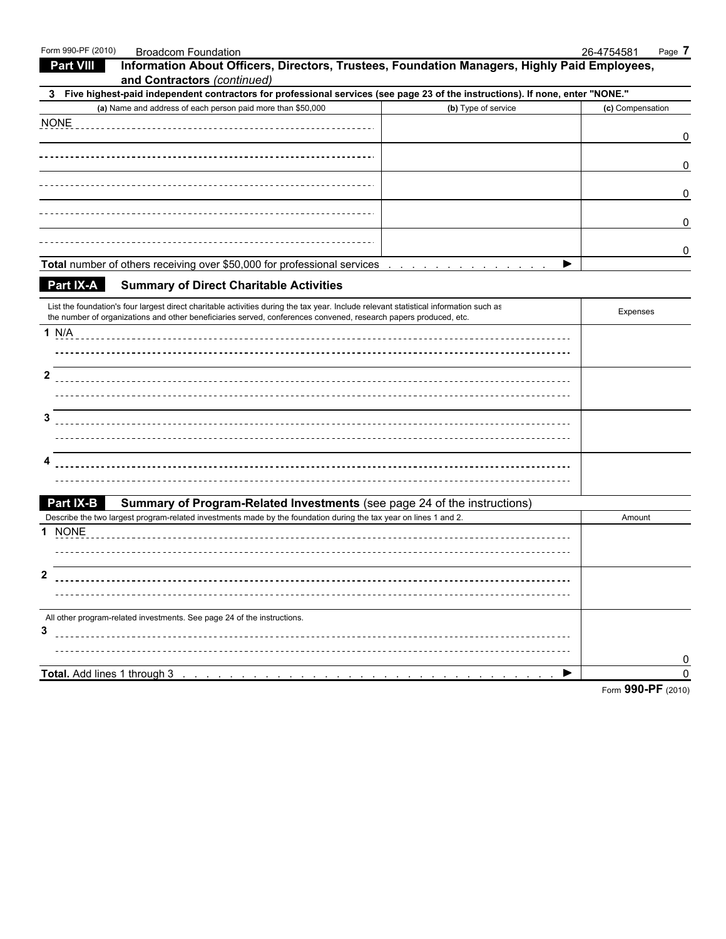| Form 990-PF (2010)<br><b>Broadcom Foundation</b>                                                                                                                                                           |                     | 26-4754581<br>Page 7 |
|------------------------------------------------------------------------------------------------------------------------------------------------------------------------------------------------------------|---------------------|----------------------|
| Information About Officers, Directors, Trustees, Foundation Managers, Highly Paid Employees,<br><b>Part VIII</b>                                                                                           |                     |                      |
| and Contractors (continued)                                                                                                                                                                                |                     |                      |
| 3 Five highest-paid independent contractors for professional services (see page 23 of the instructions). If none, enter "NONE."                                                                            |                     |                      |
| (a) Name and address of each person paid more than \$50,000                                                                                                                                                | (b) Type of service | (c) Compensation     |
| <b>NONE</b>                                                                                                                                                                                                |                     |                      |
|                                                                                                                                                                                                            |                     | 0                    |
|                                                                                                                                                                                                            |                     |                      |
|                                                                                                                                                                                                            |                     | 0                    |
|                                                                                                                                                                                                            |                     |                      |
|                                                                                                                                                                                                            |                     | 0                    |
|                                                                                                                                                                                                            |                     |                      |
|                                                                                                                                                                                                            |                     | 0                    |
|                                                                                                                                                                                                            |                     |                      |
|                                                                                                                                                                                                            |                     | 0                    |
| <b>Total number of others receiving over \$50,000 for professional services</b>                                                                                                                            | ▶                   |                      |
| <b>Part IX-A</b><br><b>Summary of Direct Charitable Activities</b>                                                                                                                                         |                     |                      |
|                                                                                                                                                                                                            |                     |                      |
| List the foundation's four largest direct charitable activities during the tax year. Include relevant statistical information such as                                                                      |                     | Expenses             |
| the number of organizations and other beneficiaries served, conferences convened, research papers produced, etc.                                                                                           |                     |                      |
| 1 N/A                                                                                                                                                                                                      |                     |                      |
|                                                                                                                                                                                                            |                     |                      |
|                                                                                                                                                                                                            |                     |                      |
| $\mathbf{2}$                                                                                                                                                                                               |                     |                      |
|                                                                                                                                                                                                            |                     |                      |
|                                                                                                                                                                                                            |                     |                      |
| 3                                                                                                                                                                                                          |                     |                      |
|                                                                                                                                                                                                            |                     |                      |
|                                                                                                                                                                                                            |                     |                      |
| 4                                                                                                                                                                                                          |                     |                      |
|                                                                                                                                                                                                            |                     |                      |
|                                                                                                                                                                                                            |                     |                      |
| Part IX-B<br>Summary of Program-Related Investments (see page 24 of the instructions)<br>Describe the two largest program-related investments made by the foundation during the tax year on lines 1 and 2. |                     |                      |
|                                                                                                                                                                                                            |                     | Amount               |
| 1 NONE                                                                                                                                                                                                     |                     |                      |
|                                                                                                                                                                                                            |                     |                      |
|                                                                                                                                                                                                            |                     |                      |
| $\mathbf{2}$                                                                                                                                                                                               |                     |                      |
|                                                                                                                                                                                                            |                     |                      |
|                                                                                                                                                                                                            |                     |                      |
| All other program-related investments. See page 24 of the instructions.                                                                                                                                    |                     |                      |
| 3                                                                                                                                                                                                          |                     |                      |
|                                                                                                                                                                                                            |                     |                      |
|                                                                                                                                                                                                            | ▶                   | 0<br>n               |
|                                                                                                                                                                                                            |                     | 000 DE               |
|                                                                                                                                                                                                            |                     |                      |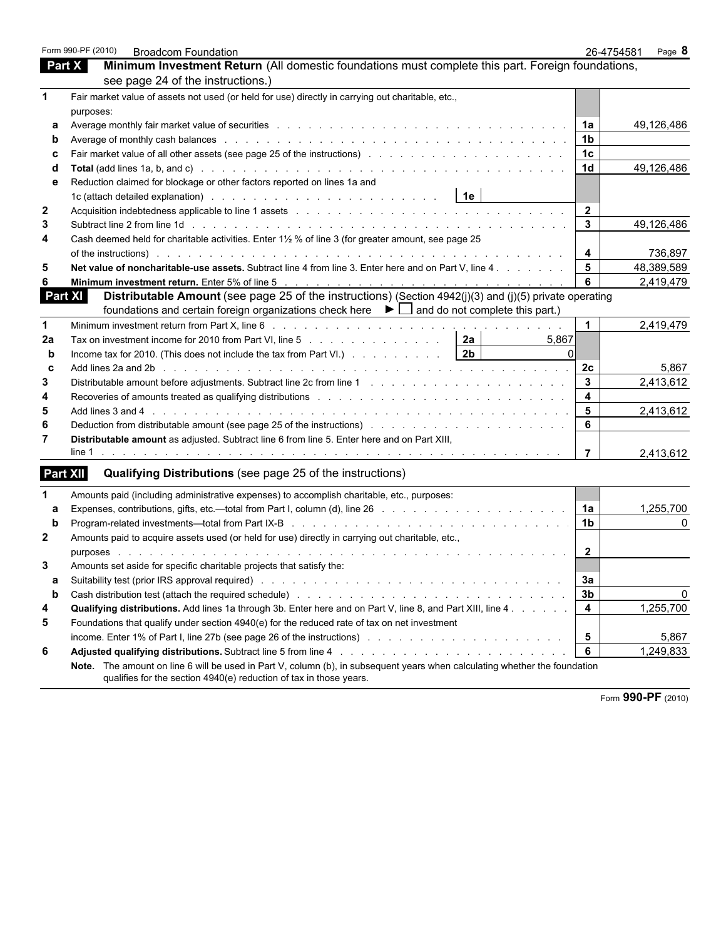|              | Form 990-PF (2010)<br><b>Broadcom Foundation</b>                                                                                                                                                                                                                                                                                                                 |                         | 26-4754581<br>Page 8 |
|--------------|------------------------------------------------------------------------------------------------------------------------------------------------------------------------------------------------------------------------------------------------------------------------------------------------------------------------------------------------------------------|-------------------------|----------------------|
|              | Minimum Investment Return (All domestic foundations must complete this part. Foreign foundations,<br>Part X                                                                                                                                                                                                                                                      |                         |                      |
|              | see page 24 of the instructions.)                                                                                                                                                                                                                                                                                                                                |                         |                      |
| 1            | Fair market value of assets not used (or held for use) directly in carrying out charitable, etc.,                                                                                                                                                                                                                                                                |                         |                      |
|              | purposes:                                                                                                                                                                                                                                                                                                                                                        |                         |                      |
| а            |                                                                                                                                                                                                                                                                                                                                                                  | 1a                      | 49,126,486           |
|              | Average of monthly cash balances enterprise to a contract of the contract of the contract of monthly cash balances                                                                                                                                                                                                                                               | 1 <sub>b</sub>          |                      |
|              |                                                                                                                                                                                                                                                                                                                                                                  | 1 <sub>c</sub>          |                      |
|              |                                                                                                                                                                                                                                                                                                                                                                  | 1 <sub>d</sub>          | 49,126,486           |
|              | Reduction claimed for blockage or other factors reported on lines 1a and                                                                                                                                                                                                                                                                                         |                         |                      |
|              | 1c (attach detailed explanation) with a subset of the set of the set of the set of the set of the set of the set of the set of the set of the set of the set of the set of the set of the set of the set of the set of the set                                                                                                                                   |                         |                      |
| $\mathbf{2}$ |                                                                                                                                                                                                                                                                                                                                                                  | $\overline{2}$          |                      |
| 3            |                                                                                                                                                                                                                                                                                                                                                                  | $\mathbf{3}$            | 49,126,486           |
| 4            | Cash deemed held for charitable activities. Enter 1½ % of line 3 (for greater amount, see page 25                                                                                                                                                                                                                                                                |                         |                      |
|              | of the instructions) by the second contract of the instructions of the instructions) by the second contract of the instructions of the instructions of the instruction of the instruction of the instruction of the instructio                                                                                                                                   | 4                       | 736,897              |
| 5            | Net value of noncharitable-use assets. Subtract line 4 from line 3. Enter here and on Part V, line 4                                                                                                                                                                                                                                                             | 5                       | 48,389,589           |
| 6            | Minimum investment return. Enter 5% of line 5 (a) that is a contact of the state of the state of the state of the state of the state of the state of the state of the state of the state of the state of the state of the stat                                                                                                                                   | 6                       | 2,419,479            |
|              | <b>Part XI</b><br>Distributable Amount (see page 25 of the instructions) (Section 4942(j)(3) and (j)(5) private operating                                                                                                                                                                                                                                        |                         |                      |
|              | foundations and certain foreign organizations check here $\blacktriangleright \Box$ and do not complete this part.)                                                                                                                                                                                                                                              |                         |                      |
| $\mathbf 1$  |                                                                                                                                                                                                                                                                                                                                                                  | $\mathbf{1}$            | 2,419,479            |
| 2a           | Tax on investment income for 2010 from Part VI, line 5 $\ldots$ 2a<br>5.867                                                                                                                                                                                                                                                                                      |                         |                      |
| b            | Income tax for 2010. (This does not include the tax from Part VI.) $\ldots$ $\ldots$ $\ldots$ $\ldots$   2b                                                                                                                                                                                                                                                      |                         |                      |
| C            |                                                                                                                                                                                                                                                                                                                                                                  | 2c                      | 5,867                |
| 3            | Distributable amount before adjustments. Subtract line 2c from line 1 [1] [1] $\ldots$ [1] [1] $\ldots$ [1] [1] $\ldots$ [1] $\ldots$ [1] $\ldots$ [1] $\ldots$ [1] $\ldots$ [1] $\ldots$ [1] $\ldots$ [1] $\ldots$ [1] $\ldots$ [1] $\ldots$ [1] $\ldots$ [1] $\ldots$                                                                                          | 3                       | 2,413,612            |
| 4            | Recoveries of amounts treated as qualifying distributions enters and according to the content of the content of                                                                                                                                                                                                                                                  | $\overline{4}$          |                      |
| 5            | Add lines 3 and 4 200 minutes and a state of the state of the state of the state of the state of the state of the state of the state of the state of the state of the state of the state of the state of the state of the stat                                                                                                                                   | $5\phantom{1}$          | 2,413,612            |
| 6            |                                                                                                                                                                                                                                                                                                                                                                  | 6                       |                      |
| 7            | Distributable amount as adjusted. Subtract line 6 from line 5. Enter here and on Part XIII,                                                                                                                                                                                                                                                                      |                         |                      |
|              |                                                                                                                                                                                                                                                                                                                                                                  | $\overline{7}$          | 2,413,612            |
|              | <b>Part XII</b><br>Qualifying Distributions (see page 25 of the instructions)                                                                                                                                                                                                                                                                                    |                         |                      |
|              |                                                                                                                                                                                                                                                                                                                                                                  |                         |                      |
| 1            | Amounts paid (including administrative expenses) to accomplish charitable, etc., purposes:                                                                                                                                                                                                                                                                       |                         |                      |
| a<br>b       | Expenses, contributions, gifts, etc.—total from Part I, column (d), line 26 mass and contract and contributions, gifts, etc.—total from Part I, column (d), line 26 mass and contract and contract and contract and contract a<br>Program-related investments—total from Part IX-B research and service and service and service in the service of                | 1a<br>1 <sub>b</sub>    | 1,255,700<br>0       |
| $\mathbf{2}$ |                                                                                                                                                                                                                                                                                                                                                                  |                         |                      |
|              | Amounts paid to acquire assets used (or held for use) directly in carrying out charitable, etc.,                                                                                                                                                                                                                                                                 | 2                       |                      |
| 3            | purposes experience and the set of the set of the set of the set of the set of the set of the set of the set o<br>de la participat de la participat de la participat de la participat de la                                                                                                                                                                      |                         |                      |
|              | Amounts set aside for specific charitable projects that satisfy the:                                                                                                                                                                                                                                                                                             | 3a                      |                      |
| а<br>b       |                                                                                                                                                                                                                                                                                                                                                                  | 3b                      | 0                    |
|              | Cash distribution test (attach the required schedule) enters and contact the contact of the contact of the contact of the contact of the contact of the contact of the contact of the contact of the contact of the contact of                                                                                                                                   | $\overline{\mathbf{4}}$ | 1,255,700            |
| 4<br>5       | Qualifying distributions. Add lines 1a through 3b. Enter here and on Part V, line 8, and Part XIII, line 4.                                                                                                                                                                                                                                                      |                         |                      |
|              | Foundations that qualify under section 4940(e) for the reduced rate of tax on net investment                                                                                                                                                                                                                                                                     |                         |                      |
|              |                                                                                                                                                                                                                                                                                                                                                                  | 5<br>6                  | 5,867<br>1,249,833   |
| 6            | <b>Adjusted qualifying distributions.</b> Subtract line 5 from line 4 many contacts of the state of the state of the state of the state of the state of the state of the state of the state of the state of the state of the state<br>Note. The amount on line 6 will be used in Part V, column (b), in subsequent years when calculating whether the foundation |                         |                      |
|              | qualifies for the section 4940(e) reduction of tax in those years.                                                                                                                                                                                                                                                                                               |                         |                      |
|              |                                                                                                                                                                                                                                                                                                                                                                  |                         |                      |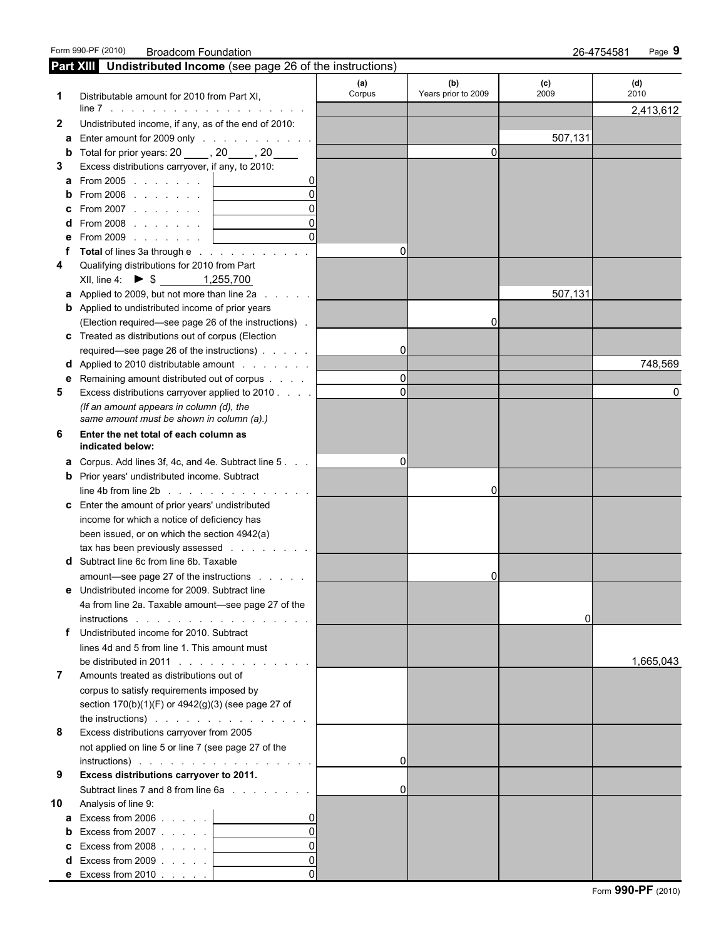Form 990-PF (2010) Broadcom Foundation 26-4754581 Page **9**

|              | <b>Part XIII</b> Undistributed Income (see page 26 of the instructions)                                        |               |                            |             |             |
|--------------|----------------------------------------------------------------------------------------------------------------|---------------|----------------------------|-------------|-------------|
|              | Distributable amount for 2010 from Part XI,                                                                    | (a)<br>Corpus | (b)<br>Years prior to 2009 | (c)<br>2009 | (d)<br>2010 |
|              |                                                                                                                |               |                            |             | 2,413,612   |
| $\mathbf{2}$ | Undistributed income, if any, as of the end of 2010:                                                           |               |                            |             |             |
|              | a Enter amount for 2009 only                                                                                   |               |                            | 507,131     |             |
|              | <b>b</b> Total for prior years: $20$ _____, $20$ ____, $20$ _____                                              |               | 0                          |             |             |
| 3            | Excess distributions carryover, if any, to 2010:                                                               |               |                            |             |             |
|              | a From 2005 <u>  _ _ _ _ _ _</u>                                                                               |               |                            |             |             |
|              | <b>b</b> From 2006   _________                                                                                 |               |                            |             |             |
|              |                                                                                                                |               |                            |             |             |
|              | <b>d</b> From 2008 <u>  _ _ _ _ _ _ _</u>                                                                      |               |                            |             |             |
|              | <b>e</b> From 2009 <u>  _ _ _ _ _ _ _</u>                                                                      |               |                            |             |             |
|              | Total of lines 3a through e                                                                                    | $\Omega$      |                            |             |             |
|              | Qualifying distributions for 2010 from Part                                                                    |               |                            |             |             |
|              | XII, line 4: ▶ $\frac{1,255,700}{ }$                                                                           |               |                            |             |             |
|              | <b>a</b> Applied to 2009, but not more than line $2a$                                                          |               |                            | 507,131     |             |
|              | <b>b</b> Applied to undistributed income of prior years                                                        |               |                            |             |             |
|              | (Election required—see page 26 of the instructions).                                                           |               | 0                          |             |             |
|              | c Treated as distributions out of corpus (Election                                                             |               |                            |             |             |
|              | required—see page 26 of the instructions)                                                                      | 01            |                            |             |             |
|              | <b>d</b> Applied to 2010 distributable amount                                                                  |               |                            |             | 748,569     |
|              | <b>e</b> Remaining amount distributed out of corpus                                                            | 0l            |                            |             |             |
| 5            | Excess distributions carryover applied to 2010                                                                 | $\Omega$      |                            |             | 0           |
|              | (If an amount appears in column (d), the                                                                       |               |                            |             |             |
|              | same amount must be shown in column (a).)<br>Enter the net total of each column as                             |               |                            |             |             |
| 6            | indicated below:                                                                                               |               |                            |             |             |
|              | <b>a</b> Corpus. Add lines 3f, 4c, and 4e. Subtract line 5.                                                    | $\Omega$      |                            |             |             |
|              | <b>b</b> Prior years' undistributed income. Subtract                                                           |               |                            |             |             |
|              | $line 4b$ from line $2b$ $\ldots$ $\ldots$ $\ldots$<br>and the state of the state                              |               | 0                          |             |             |
|              | c Enter the amount of prior years' undistributed                                                               |               |                            |             |             |
|              | income for which a notice of deficiency has                                                                    |               |                            |             |             |
|              | been issued, or on which the section 4942(a)                                                                   |               |                            |             |             |
|              | tax has been previously assessed expansion of the state of the state of the state of the state of the state of |               |                            |             |             |
|              | d Subtract line 6c from line 6b. Taxable                                                                       |               |                            |             |             |
|              | amount—see page 27 of the instructions                                                                         |               | 0                          |             |             |
|              | <b>e</b> Undistributed income for 2009. Subtract line                                                          |               |                            |             |             |
|              | 4a from line 2a. Taxable amount-see page 27 of the                                                             |               |                            |             |             |
|              | instructions                                                                                                   |               |                            | 0           |             |
|              | Undistributed income for 2010. Subtract                                                                        |               |                            |             |             |
|              | lines 4d and 5 from line 1. This amount must                                                                   |               |                            |             |             |
|              | be distributed in 2011 $\ldots$ $\ldots$ $\ldots$ $\ldots$ $\ldots$                                            |               |                            |             | 1,665,043   |
| 7            | Amounts treated as distributions out of                                                                        |               |                            |             |             |
|              | corpus to satisfy requirements imposed by                                                                      |               |                            |             |             |
|              | section 170(b)(1)(F) or 4942(g)(3) (see page 27 of                                                             |               |                            |             |             |
|              | the instructions) $\cdots$ $\cdots$ $\cdots$ $\cdots$ $\cdots$                                                 |               |                            |             |             |
| 8            | Excess distributions carryover from 2005                                                                       |               |                            |             |             |
|              | not applied on line 5 or line 7 (see page 27 of the                                                            |               |                            |             |             |
|              |                                                                                                                | 0l            |                            |             |             |
| 9            | Excess distributions carryover to 2011.                                                                        |               |                            |             |             |
|              | Subtract lines 7 and 8 from line 6a substitution of the Subtract lines 7 and 8 from line 6a                    | 0l            |                            |             |             |
| 10           | Analysis of line 9:                                                                                            |               |                            |             |             |
|              | <b>a</b> Excess from 2006 $\ldots$                                                                             |               |                            |             |             |
|              | <b>b</b> Excess from 2007 $\ldots$                                                                             |               |                            |             |             |
|              | <b>c</b> Excess from $2008$ .                                                                                  |               |                            |             |             |
|              | $d$ Excess from 2009 $\ldots$                                                                                  |               |                            |             |             |
|              | <b>e</b> Excess from 2010 $\ldots$                                                                             |               |                            |             |             |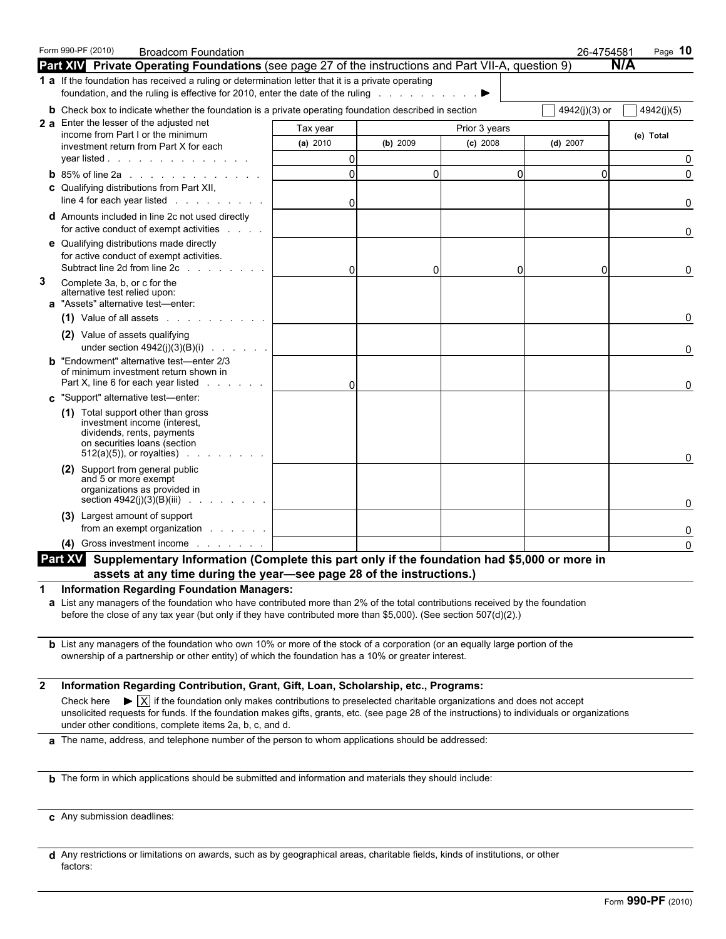|              | Form 990-PF (2010)<br><b>Broadcom Foundation</b><br>Part XIV Private Operating Foundations (see page 27 of the instructions and Part VII-A, question 9)                                                                                                                                                  |                             |          |               | 26-4754581 | Page $10$<br><b>N/A</b> |  |  |  |
|--------------|----------------------------------------------------------------------------------------------------------------------------------------------------------------------------------------------------------------------------------------------------------------------------------------------------------|-----------------------------|----------|---------------|------------|-------------------------|--|--|--|
|              | 1 a If the foundation has received a ruling or determination letter that it is a private operating                                                                                                                                                                                                       |                             |          |               |            |                         |  |  |  |
|              | foundation, and the ruling is effective for 2010, enter the date of the ruling enter the set of the ruling and the set of the ruling and the set of the ruling and the set of the set of the set of the set of the set of the                                                                            |                             |          |               |            |                         |  |  |  |
|              | <b>b</b> Check box to indicate whether the foundation is a private operating foundation described in section                                                                                                                                                                                             | 4942(j)(3) or<br>4942(j)(5) |          |               |            |                         |  |  |  |
|              | 2 a Enter the lesser of the adjusted net<br>income from Part I or the minimum                                                                                                                                                                                                                            | Tax year                    |          | Prior 3 years |            | (e) Total               |  |  |  |
|              | investment return from Part X for each                                                                                                                                                                                                                                                                   | (a) $2010$                  | (b) 2009 | $(c)$ 2008    | $(d)$ 2007 |                         |  |  |  |
|              | year listed                                                                                                                                                                                                                                                                                              | 0                           |          |               |            | 0                       |  |  |  |
|              | <b>b</b> 85% of line 2a $\ldots$ $\ldots$ $\ldots$                                                                                                                                                                                                                                                       | $\mathbf 0$                 | $\Omega$ | $\Omega$      | $\Omega$   | 0                       |  |  |  |
|              | <b>c</b> Qualifying distributions from Part XII,<br>line 4 for each year listed                                                                                                                                                                                                                          | $\mathbf{0}$                |          |               |            |                         |  |  |  |
|              | <b>d</b> Amounts included in line 2c not used directly<br>for active conduct of exempt activities                                                                                                                                                                                                        |                             |          |               |            | 0                       |  |  |  |
|              | e Qualifying distributions made directly<br>for active conduct of exempt activities.<br>Subtract line 2d from line 2c                                                                                                                                                                                    | $\Omega$                    | $\Omega$ | O             | $\Omega$   | 0                       |  |  |  |
| 3            | Complete 3a, b, or c for the<br>alternative test relied upon:<br>a "Assets" alternative test-enter:                                                                                                                                                                                                      |                             |          |               |            |                         |  |  |  |
|              | $(1)$ Value of all assets $(2)$                                                                                                                                                                                                                                                                          |                             |          |               |            | 0                       |  |  |  |
|              | (2) Value of assets qualifying                                                                                                                                                                                                                                                                           |                             |          |               |            | 0                       |  |  |  |
|              | <b>b</b> "Endowment" alternative test-enter 2/3<br>of minimum investment return shown in<br>Part X, line 6 for each year listed                                                                                                                                                                          | $\Omega$                    |          |               |            | 0                       |  |  |  |
|              | c "Support" alternative test-enter:                                                                                                                                                                                                                                                                      |                             |          |               |            |                         |  |  |  |
|              | (1) Total support other than gross<br>investment income (interest,<br>dividends, rents, payments<br>on securities loans (section<br>$512(a)(5)$ , or royalties)                                                                                                                                          |                             |          |               |            | 0                       |  |  |  |
|              | (2) Support from general public<br>and 5 or more exempt<br>organizations as provided in<br>section $4942(j)(3)(B)(iii)$<br>and a straight                                                                                                                                                                |                             |          |               |            |                         |  |  |  |
|              | (3) Largest amount of support<br>from an exempt organization example.                                                                                                                                                                                                                                    |                             |          |               |            | 0<br>0                  |  |  |  |
|              | Gross investment income                                                                                                                                                                                                                                                                                  |                             |          |               |            | $\mathbf{0}$            |  |  |  |
|              | Part XV Supplementary Information (Complete this part only if the foundation had \$5,000 or more in                                                                                                                                                                                                      |                             |          |               |            |                         |  |  |  |
| 1            | assets at any time during the year-see page 28 of the instructions.)<br><b>Information Regarding Foundation Managers:</b>                                                                                                                                                                                |                             |          |               |            |                         |  |  |  |
|              | a List any managers of the foundation who have contributed more than 2% of the total contributions received by the foundation<br>before the close of any tax year (but only if they have contributed more than \$5,000). (See section 507(d)(2).)                                                        |                             |          |               |            |                         |  |  |  |
|              | <b>b</b> List any managers of the foundation who own 10% or more of the stock of a corporation (or an equally large portion of the<br>ownership of a partnership or other entity) of which the foundation has a 10% or greater interest.                                                                 |                             |          |               |            |                         |  |  |  |
| $\mathbf{2}$ | Information Regarding Contribution, Grant, Gift, Loan, Scholarship, etc., Programs:                                                                                                                                                                                                                      |                             |          |               |            |                         |  |  |  |
|              | $\blacktriangleright \overline{X}$ if the foundation only makes contributions to preselected charitable organizations and does not accept<br>Check here<br>unsolicited requests for funds. If the foundation makes gifts, grants, etc. (see page 28 of the instructions) to individuals or organizations |                             |          |               |            |                         |  |  |  |
|              | under other conditions, complete items 2a, b, c, and d.<br>a The name, address, and telephone number of the person to whom applications should be addressed:                                                                                                                                             |                             |          |               |            |                         |  |  |  |
|              |                                                                                                                                                                                                                                                                                                          |                             |          |               |            |                         |  |  |  |
|              | <b>b</b> The form in which applications should be submitted and information and materials they should include:                                                                                                                                                                                           |                             |          |               |            |                         |  |  |  |
|              |                                                                                                                                                                                                                                                                                                          |                             |          |               |            |                         |  |  |  |
|              | c Any submission deadlines:                                                                                                                                                                                                                                                                              |                             |          |               |            |                         |  |  |  |

**d** Any restrictions or limitations on awards, such as by geographical areas, charitable fields, kinds of institutions, or other factors: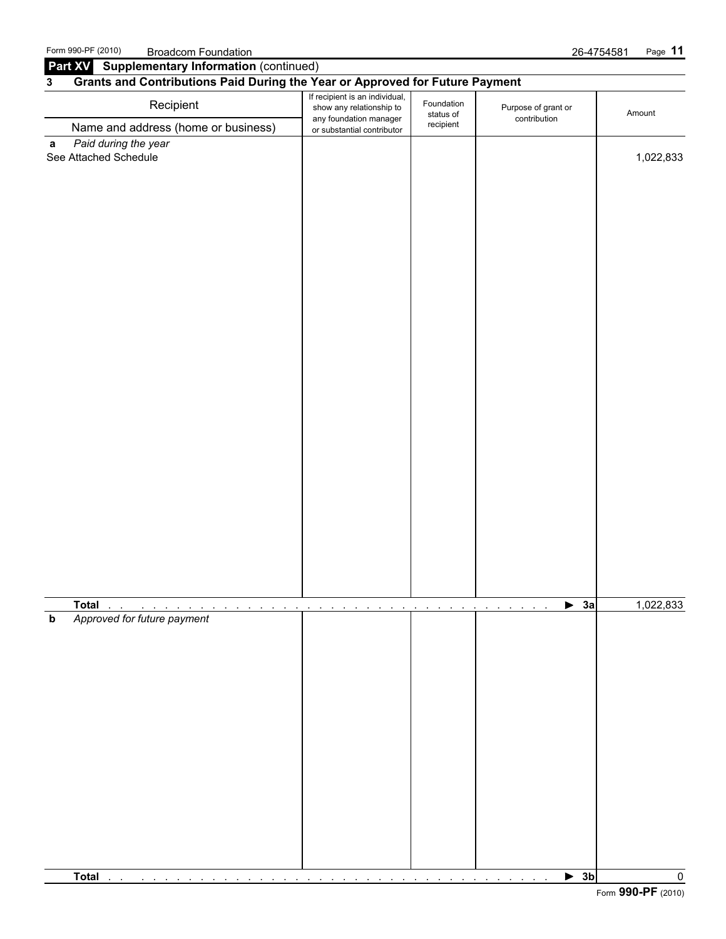Form 990-PF (2010) Broadcom Foundation 26-4754581 Page **11 Part XV** Supplementary Information (continued) **3 Grants and Contributions Paid During the Year or Approved for Future Payment If recipient is an individual,** Foundation<br> **Recipient Show any relationship to Purpose of grant or** show any felatorism produce that the status of the contribution<br>or substantial contributor contributor contribution Name and address (home or business) Foundation status of recipient **a** *Paid during the year* See Attached Schedule 1,022,833 and 1,022,833 and 1,022,833 and 1,022,833 and 1,022,833 and 1,022,833 and 1,022,833 and 1,022,833 and 1,022,833 and 1,022,833 and 1,022,833 and 1,022,833 and 1,022,833 and 1,022,833 and 1,02

|             | Total                                                                                                                                                                                                                                  |                   |                                          | $\triangleright$ 3a      | 1,022,833 |
|-------------|----------------------------------------------------------------------------------------------------------------------------------------------------------------------------------------------------------------------------------------|-------------------|------------------------------------------|--------------------------|-----------|
| $\mathbf b$ | Approved for future payment                                                                                                                                                                                                            | $\sim$<br>$\cdot$ | the contract of the contract of the con- |                          |           |
|             |                                                                                                                                                                                                                                        |                   |                                          |                          |           |
|             |                                                                                                                                                                                                                                        |                   |                                          |                          |           |
|             |                                                                                                                                                                                                                                        |                   |                                          |                          |           |
|             |                                                                                                                                                                                                                                        |                   |                                          |                          |           |
|             |                                                                                                                                                                                                                                        |                   |                                          |                          |           |
|             |                                                                                                                                                                                                                                        |                   |                                          |                          |           |
|             |                                                                                                                                                                                                                                        |                   |                                          |                          |           |
|             |                                                                                                                                                                                                                                        |                   |                                          |                          |           |
|             |                                                                                                                                                                                                                                        |                   |                                          |                          |           |
|             |                                                                                                                                                                                                                                        |                   |                                          |                          |           |
|             |                                                                                                                                                                                                                                        |                   |                                          |                          |           |
|             |                                                                                                                                                                                                                                        |                   |                                          |                          |           |
|             |                                                                                                                                                                                                                                        |                   |                                          |                          |           |
|             |                                                                                                                                                                                                                                        |                   |                                          |                          |           |
|             | Total<br>the company of the company of the company of the company of the company of the company of the company of the company of the company of the company of the company of the company of the company of the company of the company |                   |                                          | $\blacktriangleright$ 3b | 0.0000    |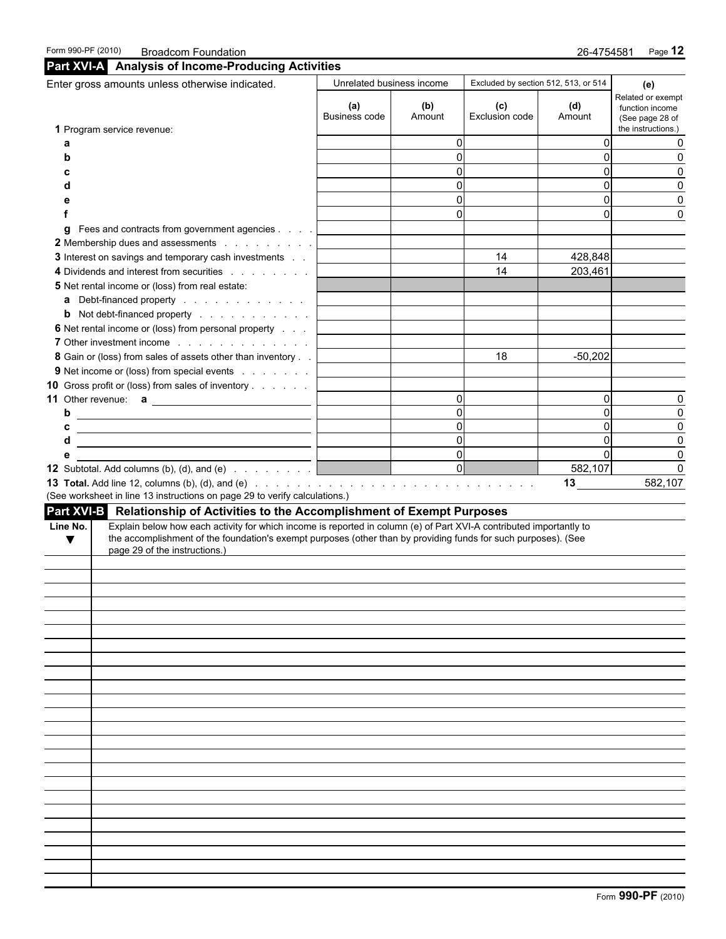|          | Enter gross amounts unless otherwise indicated.                                                                       | Unrelated business income |               | Excluded by section 512, 513, or 514 |                | (e)                                                                           |
|----------|-----------------------------------------------------------------------------------------------------------------------|---------------------------|---------------|--------------------------------------|----------------|-------------------------------------------------------------------------------|
|          | 1 Program service revenue:                                                                                            | (a)<br>Business code      | (b)<br>Amount | (c)<br>Exclusion code                | (d)<br>Amount  | Related or exempt<br>function income<br>(See page 28 of<br>the instructions.) |
|          |                                                                                                                       |                           | $\Omega$      |                                      | 0              | 0                                                                             |
| a        |                                                                                                                       |                           | $\Omega$      |                                      | $\Omega$       | 0                                                                             |
| b        |                                                                                                                       |                           | $\Omega$      |                                      | $\Omega$       |                                                                               |
|          |                                                                                                                       |                           | $\Omega$      |                                      |                | 0                                                                             |
|          |                                                                                                                       |                           |               |                                      | $\Omega$       | 0                                                                             |
|          |                                                                                                                       |                           | $\Omega$      |                                      | $\Omega$       | 0                                                                             |
|          |                                                                                                                       |                           | $\Omega$      |                                      | $\Omega$       | $\Omega$                                                                      |
| a        | Fees and contracts from government agencies                                                                           |                           |               |                                      |                |                                                                               |
|          | 2 Membership dues and assessments                                                                                     |                           |               |                                      |                |                                                                               |
|          | 3 Interest on savings and temporary cash investments                                                                  |                           |               | 14                                   | 428,848        |                                                                               |
|          | 4 Dividends and interest from securities                                                                              |                           |               | 14                                   | 203,461        |                                                                               |
|          | 5 Net rental income or (loss) from real estate:                                                                       |                           |               |                                      |                |                                                                               |
|          | a Debt-financed property                                                                                              |                           |               |                                      |                |                                                                               |
|          | <b>b</b> Not debt-financed property                                                                                   |                           |               |                                      |                |                                                                               |
|          | 6 Net rental income or (loss) from personal property                                                                  |                           |               |                                      |                |                                                                               |
|          |                                                                                                                       |                           |               |                                      |                |                                                                               |
|          | 8 Gain or (loss) from sales of assets other than inventory                                                            |                           |               | 18                                   | $-50,202$      |                                                                               |
|          | 9 Net income or (loss) from special events                                                                            |                           |               |                                      |                |                                                                               |
|          | 10 Gross profit or (loss) from sales of inventory                                                                     |                           |               |                                      |                |                                                                               |
|          |                                                                                                                       |                           | $\Omega$      |                                      | $\Omega$       | 0                                                                             |
|          | b                                                                                                                     |                           | $\Omega$      |                                      | $\Omega$       | $\mathbf 0$                                                                   |
| c        |                                                                                                                       |                           | $\Omega$      |                                      | $\overline{0}$ | 0                                                                             |
| d        | <u> 1989 - Jan Sterlinger von Berger von Berger von Berger von Berger von Berger von Berger von Berger von Berger</u> |                           | $\Omega$      |                                      | $\pmb{0}$      | 0                                                                             |
| е        |                                                                                                                       |                           | $\Omega$      |                                      | $\mathbf 0$    | $\mathbf 0$                                                                   |
|          | <b>12</b> Subtotal. Add columns (b), (d), and (e) $\ldots$ $\ldots$ $\ldots$ $\lfloor$                                |                           | 0             |                                      | 582,107        | $\mathbf 0$                                                                   |
|          |                                                                                                                       |                           |               |                                      | 13             | 582,107                                                                       |
|          | (See worksheet in line 13 instructions on page 29 to verify calculations.)                                            |                           |               |                                      |                |                                                                               |
|          | Part XVI-B Relationship of Activities to the Accomplishment of Exempt Purposes                                        |                           |               |                                      |                |                                                                               |
| Line No. | Explain below how each activity for which income is reported in column (e) of Part XVI-A contributed importantly to   |                           |               |                                      |                |                                                                               |
| v        | the accomplishment of the foundation's exempt purposes (other than by providing funds for such purposes). (See        |                           |               |                                      |                |                                                                               |
|          | page 29 of the instructions.)                                                                                         |                           |               |                                      |                |                                                                               |
|          |                                                                                                                       |                           |               |                                      |                |                                                                               |
|          |                                                                                                                       |                           |               |                                      |                |                                                                               |
|          |                                                                                                                       |                           |               |                                      |                |                                                                               |
|          |                                                                                                                       |                           |               |                                      |                |                                                                               |
|          |                                                                                                                       |                           |               |                                      |                |                                                                               |
|          |                                                                                                                       |                           |               |                                      |                |                                                                               |
|          |                                                                                                                       |                           |               |                                      |                |                                                                               |
|          |                                                                                                                       |                           |               |                                      |                |                                                                               |
|          |                                                                                                                       |                           |               |                                      |                |                                                                               |
|          |                                                                                                                       |                           |               |                                      |                |                                                                               |
|          |                                                                                                                       |                           |               |                                      |                |                                                                               |
|          |                                                                                                                       |                           |               |                                      |                |                                                                               |
|          |                                                                                                                       |                           |               |                                      |                |                                                                               |
|          |                                                                                                                       |                           |               |                                      |                |                                                                               |
|          |                                                                                                                       |                           |               |                                      |                |                                                                               |
|          |                                                                                                                       |                           |               |                                      |                |                                                                               |
|          |                                                                                                                       |                           |               |                                      |                |                                                                               |
|          |                                                                                                                       |                           |               |                                      |                |                                                                               |
|          |                                                                                                                       |                           |               |                                      |                |                                                                               |
|          |                                                                                                                       |                           |               |                                      |                |                                                                               |
|          |                                                                                                                       |                           |               |                                      |                |                                                                               |
|          |                                                                                                                       |                           |               |                                      |                |                                                                               |
|          |                                                                                                                       |                           |               |                                      |                |                                                                               |
|          |                                                                                                                       |                           |               |                                      |                |                                                                               |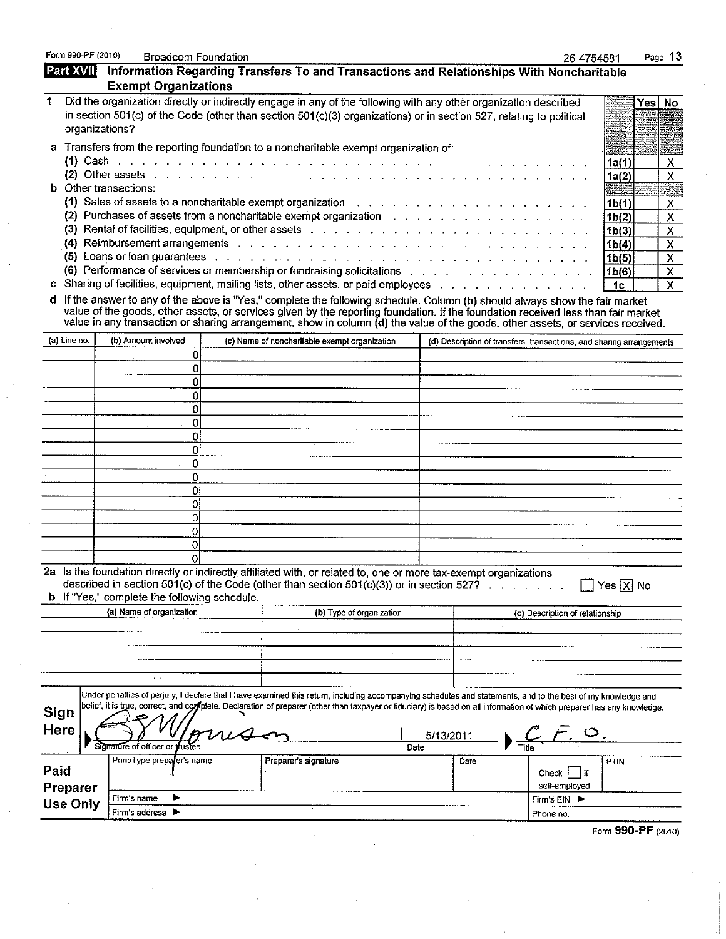|                 | <b>Exempt Organizations</b>                         | Information Regarding Transfers To and Transactions and Relationships With Noncharitable                                                                                                                                                                                                                                                                           |      |           | 26-4754581                                                           |                                          |                                           |
|-----------------|-----------------------------------------------------|--------------------------------------------------------------------------------------------------------------------------------------------------------------------------------------------------------------------------------------------------------------------------------------------------------------------------------------------------------------------|------|-----------|----------------------------------------------------------------------|------------------------------------------|-------------------------------------------|
|                 |                                                     | Did the organization directly or indirectly engage in any of the following with any other organization described                                                                                                                                                                                                                                                   |      |           |                                                                      |                                          | Yes No                                    |
|                 |                                                     | in section 501(c) of the Code (other than section 501(c)(3) organizations) or in section 527, relating to political                                                                                                                                                                                                                                                |      |           |                                                                      |                                          |                                           |
| organizations?  |                                                     |                                                                                                                                                                                                                                                                                                                                                                    |      |           |                                                                      |                                          |                                           |
|                 |                                                     | a Transfers from the reporting foundation to a noncharitable exempt organization of:                                                                                                                                                                                                                                                                               |      |           |                                                                      |                                          |                                           |
|                 |                                                     |                                                                                                                                                                                                                                                                                                                                                                    |      |           |                                                                      | 1a(1)                                    | $\boldsymbol{\mathsf{X}}$                 |
|                 |                                                     | (2) Other assets $\ldots$ , $\ldots$ , $\ldots$ , $\ldots$ , $\ldots$ , $\ldots$ , $\ldots$ , $\ldots$ , $\ldots$ , $\ldots$ , $\ldots$ , $\ldots$ , $\ldots$                                                                                                                                                                                                      |      |           |                                                                      | 1a(2)                                    | $\pmb{\times}$                            |
|                 | <b>b</b> Other transactions:                        |                                                                                                                                                                                                                                                                                                                                                                    |      |           |                                                                      |                                          |                                           |
|                 |                                                     | (1) Sales of assets to a noncharitable exempt organization with the content of the second of the second of the second second second second second second second second second second second second second second second second<br>(2) Purchases of assets from a noncharitable exempt organization $\ldots$ , $\ldots$ , $\ldots$ , $\ldots$ , $\ldots$ , $\ldots$ |      |           |                                                                      | 1 <sub>b</sub> (1)                       | X                                         |
|                 |                                                     | (3) Rental of facilities, equipment, or other assets with a state of the content of the content of the content                                                                                                                                                                                                                                                     |      |           |                                                                      | 1 <sub>b</sub> (2)<br>1 <sub>b</sub> (3) | $\boldsymbol{\mathsf{X}}$<br>$\mathsf{X}$ |
|                 |                                                     | (4) Reimbursement arrangements and a contract of the contract of the contract of the contract of the contract of the contract of the contract of the contract of the contract of the contract of the contract of the contract                                                                                                                                      |      |           |                                                                      | 1b(4)                                    | X                                         |
|                 |                                                     | (5) Loans or loan guarantees with a subsequently and the set of the set of the set of the set of the set of the set of the set of the set of the set of the set of the set of the set of the set of the set of the set of the                                                                                                                                      |      |           |                                                                      | 1 <sub>b</sub> (5)                       | $\boldsymbol{\mathsf{x}}$                 |
|                 |                                                     | (6) Performance of services or membership or fundraising solicitations                                                                                                                                                                                                                                                                                             |      |           |                                                                      | 1b(6)                                    | X                                         |
|                 |                                                     | c Sharing of facilities, equipment, mailing lists, other assets, or paid employees proto the contact of the contact of                                                                                                                                                                                                                                             |      |           |                                                                      | 1c                                       | $\pmb{\times}$                            |
|                 |                                                     | d If the answer to any of the above is "Yes," complete the following schedule. Column (b) should always show the fair market<br>value of the goods, other assets, or services given by the reporting foundation. If the foundation received less than fair market<br>value in any transaction or sharing arrangement, show in column (d) the value of the goods,   |      |           |                                                                      |                                          |                                           |
| (a) Line no.    | (b) Amount involved                                 | (c) Name of noncharitable exempt organization                                                                                                                                                                                                                                                                                                                      |      |           | (d) Description of transfers, transactions, and sharing arrangements |                                          |                                           |
|                 | 0                                                   |                                                                                                                                                                                                                                                                                                                                                                    |      |           |                                                                      |                                          |                                           |
|                 | 0                                                   |                                                                                                                                                                                                                                                                                                                                                                    |      |           |                                                                      |                                          |                                           |
|                 | 0<br>0                                              |                                                                                                                                                                                                                                                                                                                                                                    |      |           |                                                                      |                                          |                                           |
|                 | ٥                                                   | $\sim$                                                                                                                                                                                                                                                                                                                                                             |      |           |                                                                      |                                          |                                           |
|                 | 0                                                   |                                                                                                                                                                                                                                                                                                                                                                    |      |           |                                                                      |                                          |                                           |
|                 | o                                                   |                                                                                                                                                                                                                                                                                                                                                                    |      |           |                                                                      |                                          |                                           |
|                 | 0                                                   |                                                                                                                                                                                                                                                                                                                                                                    |      |           |                                                                      |                                          |                                           |
|                 | 0                                                   |                                                                                                                                                                                                                                                                                                                                                                    |      |           |                                                                      |                                          |                                           |
|                 | 0                                                   |                                                                                                                                                                                                                                                                                                                                                                    |      |           |                                                                      |                                          |                                           |
|                 | 0<br>٥                                              |                                                                                                                                                                                                                                                                                                                                                                    |      |           |                                                                      |                                          |                                           |
|                 | 0                                                   |                                                                                                                                                                                                                                                                                                                                                                    |      |           |                                                                      |                                          |                                           |
|                 | $\overline{0}$                                      |                                                                                                                                                                                                                                                                                                                                                                    |      |           |                                                                      |                                          |                                           |
|                 | $\Omega$                                            |                                                                                                                                                                                                                                                                                                                                                                    |      |           | $\ddot{\phantom{1}}$                                                 |                                          |                                           |
|                 | Ωl                                                  |                                                                                                                                                                                                                                                                                                                                                                    |      |           |                                                                      |                                          |                                           |
|                 |                                                     | 2a Is the foundation directly or indirectly affiliated with, or related to, one or more tax-exempt organizations<br>described in section 501(c) of the Code (other than section 501(c)(3)) or in section 527? $\ldots$                                                                                                                                             |      |           |                                                                      | Yes $X$ No                               |                                           |
|                 | <b>b</b> If "Yes," complete the following schedule. |                                                                                                                                                                                                                                                                                                                                                                    |      |           |                                                                      |                                          |                                           |
|                 | (a) Name of organization                            | (b) Type of organization                                                                                                                                                                                                                                                                                                                                           |      |           | (c) Description of relationship                                      |                                          |                                           |
|                 |                                                     |                                                                                                                                                                                                                                                                                                                                                                    |      |           |                                                                      |                                          |                                           |
|                 |                                                     |                                                                                                                                                                                                                                                                                                                                                                    |      |           |                                                                      |                                          |                                           |
|                 |                                                     |                                                                                                                                                                                                                                                                                                                                                                    |      |           |                                                                      |                                          |                                           |
|                 |                                                     |                                                                                                                                                                                                                                                                                                                                                                    |      |           |                                                                      |                                          |                                           |
|                 | $\sim$ $\sim$                                       |                                                                                                                                                                                                                                                                                                                                                                    |      |           |                                                                      |                                          |                                           |
|                 |                                                     |                                                                                                                                                                                                                                                                                                                                                                    |      |           |                                                                      |                                          |                                           |
|                 |                                                     | Under penalties of perjury, I declare that I have examined this return, including accompanying schedules and statements, and to the best of my knowledge and<br>belief, it is true, correct, and coppelte. Declaration of preparer (other than taxpayer or fiduciary) is based on all information of which preparer has any knowledge.                             |      |           |                                                                      |                                          |                                           |
| <b>Sign</b>     |                                                     |                                                                                                                                                                                                                                                                                                                                                                    |      |           |                                                                      |                                          |                                           |
| <b>Here</b>     |                                                     |                                                                                                                                                                                                                                                                                                                                                                    |      | 5/13/2011 |                                                                      |                                          |                                           |
|                 | Signature of officer or                             |                                                                                                                                                                                                                                                                                                                                                                    | Date |           |                                                                      |                                          |                                           |
| Paid            | Print/Type preparer's name                          | Preparer's signature                                                                                                                                                                                                                                                                                                                                               |      | Date      | Check $\vert$ if                                                     | PTIN                                     |                                           |
|                 |                                                     |                                                                                                                                                                                                                                                                                                                                                                    |      |           | self-employed                                                        |                                          |                                           |
| Preparer        | Firm's name                                         |                                                                                                                                                                                                                                                                                                                                                                    |      |           | Firm's EIN ▶                                                         |                                          |                                           |
| <b>Use Only</b> | Firm's address >                                    |                                                                                                                                                                                                                                                                                                                                                                    |      |           | Phone no.                                                            |                                          |                                           |
|                 |                                                     |                                                                                                                                                                                                                                                                                                                                                                    |      |           |                                                                      | Form 990-PF (2010)                       |                                           |
|                 |                                                     |                                                                                                                                                                                                                                                                                                                                                                    |      |           |                                                                      |                                          |                                           |
|                 |                                                     |                                                                                                                                                                                                                                                                                                                                                                    |      |           |                                                                      |                                          |                                           |
|                 |                                                     |                                                                                                                                                                                                                                                                                                                                                                    |      |           |                                                                      |                                          |                                           |
|                 |                                                     |                                                                                                                                                                                                                                                                                                                                                                    |      |           |                                                                      |                                          |                                           |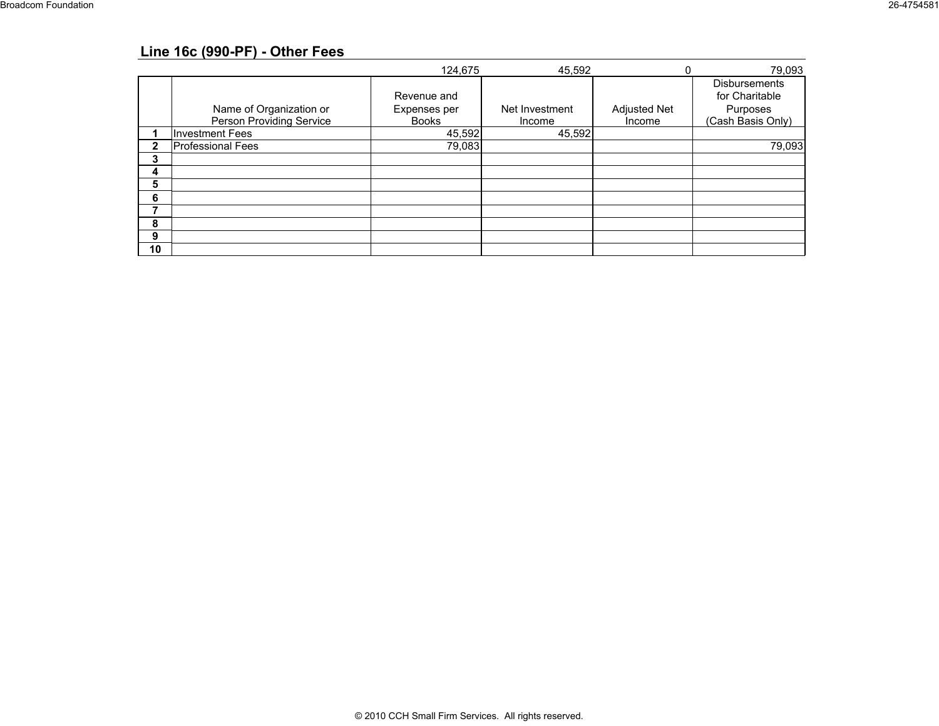## **Line 16c (990-PF) - Other Fees**

|    |                                                     | 124,675                                     | 45,592                   |                        | 79,093                                                                  |
|----|-----------------------------------------------------|---------------------------------------------|--------------------------|------------------------|-------------------------------------------------------------------------|
|    | Name of Organization or<br>Person Providing Service | Revenue and<br>Expenses per<br><b>Books</b> | Net Investment<br>Income | Adjusted Net<br>Income | <b>Disbursements</b><br>for Charitable<br>Purposes<br>(Cash Basis Only) |
|    | <b>Investment Fees</b>                              | 45,592                                      | 45,592                   |                        |                                                                         |
| 2  | <b>Professional Fees</b>                            | 79,083                                      |                          |                        | 79,093                                                                  |
| 3  |                                                     |                                             |                          |                        |                                                                         |
| 4  |                                                     |                                             |                          |                        |                                                                         |
| 5  |                                                     |                                             |                          |                        |                                                                         |
| 6  |                                                     |                                             |                          |                        |                                                                         |
|    |                                                     |                                             |                          |                        |                                                                         |
| 8  |                                                     |                                             |                          |                        |                                                                         |
| 9  |                                                     |                                             |                          |                        |                                                                         |
| 10 |                                                     |                                             |                          |                        |                                                                         |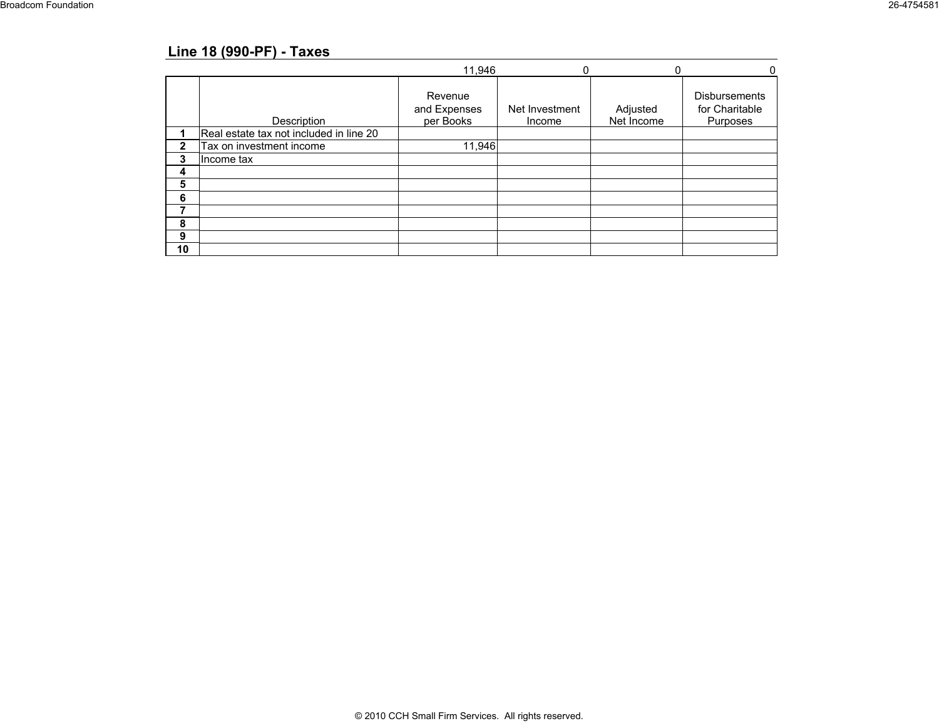## **Line 18 (990-PF) - Taxes**

|    |                                         | 11,946                               |                          | ſ                      |                                             |
|----|-----------------------------------------|--------------------------------------|--------------------------|------------------------|---------------------------------------------|
|    | Description                             | Revenue<br>and Expenses<br>per Books | Net Investment<br>Income | Adjusted<br>Net Income | Disbursements<br>for Charitable<br>Purposes |
|    | Real estate tax not included in line 20 |                                      |                          |                        |                                             |
| 2  | Tax on investment income                | 11,946                               |                          |                        |                                             |
| 3  | Income tax                              |                                      |                          |                        |                                             |
| 4  |                                         |                                      |                          |                        |                                             |
| 5  |                                         |                                      |                          |                        |                                             |
| 6  |                                         |                                      |                          |                        |                                             |
|    |                                         |                                      |                          |                        |                                             |
| 8  |                                         |                                      |                          |                        |                                             |
| 9  |                                         |                                      |                          |                        |                                             |
| 10 |                                         |                                      |                          |                        |                                             |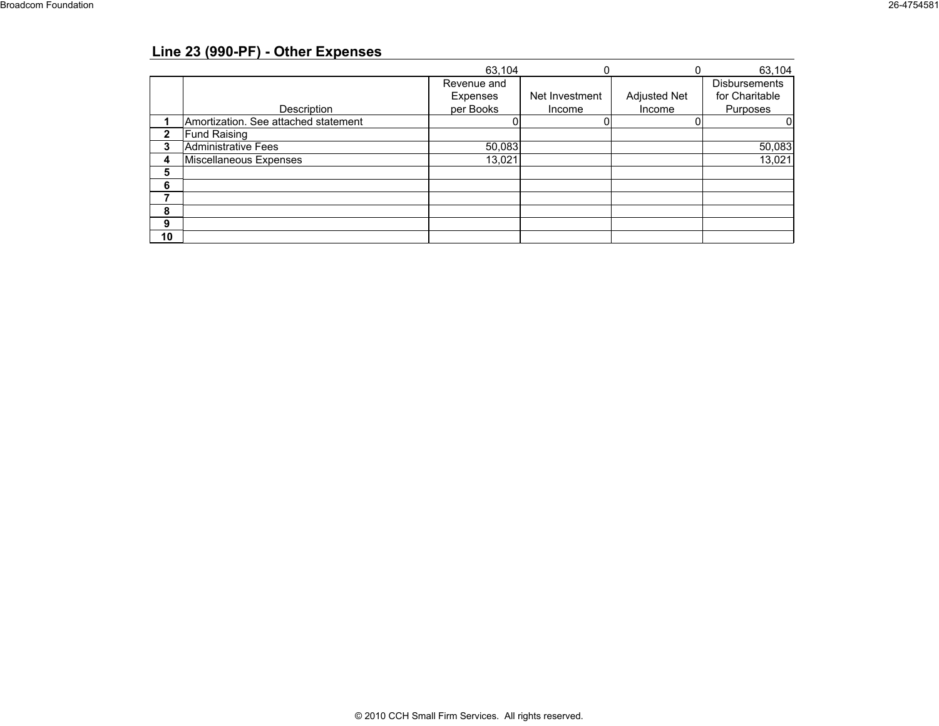## **Line 23 (990-PF) - Other Expenses**

|    |                                      | 63.104      |                |                     | 63,104         |
|----|--------------------------------------|-------------|----------------|---------------------|----------------|
|    |                                      | Revenue and |                |                     | Disbursements  |
|    |                                      | Expenses    | Net Investment | <b>Adjusted Net</b> | for Charitable |
|    | Description                          | per Books   | Income         | Income              | Purposes       |
|    | Amortization. See attached statement |             |                |                     |                |
|    | <b>Fund Raising</b>                  |             |                |                     |                |
|    | Administrative Fees                  | 50,083      |                |                     | 50,083         |
|    | Miscellaneous Expenses               | 13,021      |                |                     | 13,021         |
| 5  |                                      |             |                |                     |                |
| 6  |                                      |             |                |                     |                |
|    |                                      |             |                |                     |                |
| 8  |                                      |             |                |                     |                |
| 9  |                                      |             |                |                     |                |
| 10 |                                      |             |                |                     |                |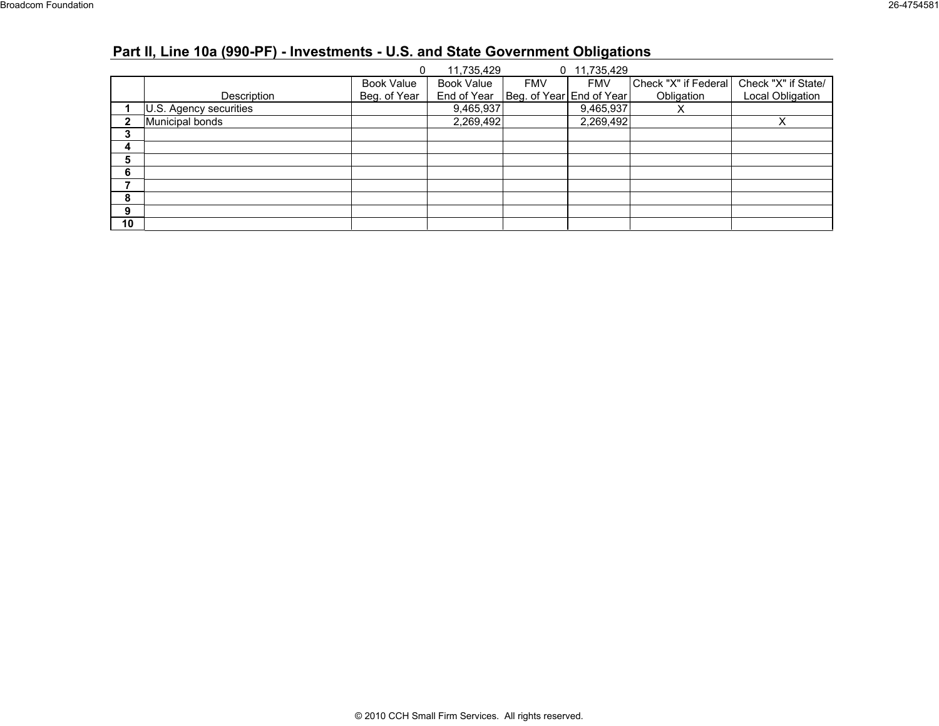# **Part II, Line 10a (990-PF) - Investments - U.S. and State Government Obligations**

|              |                        |                   | 11,735,429        |                          | 0 11,735,429 |                      |                     |
|--------------|------------------------|-------------------|-------------------|--------------------------|--------------|----------------------|---------------------|
|              |                        | <b>Book Value</b> | <b>Book Value</b> | <b>FMV</b>               | <b>FMV</b>   | Check "X" if Federal | Check "X" if State/ |
|              | Description            | Beg. of Year      | End of Year       | Beg. of Year End of Year |              | Obligation           | Local Obligation    |
|              | U.S. Agency securities |                   | 9,465,937         |                          | 9,465,937    | ⋏                    |                     |
| $\mathbf{2}$ | Municipal bonds        |                   | 2,269,492         |                          | 2,269,492    |                      | $\checkmark$        |
| 3            |                        |                   |                   |                          |              |                      |                     |
| 4            |                        |                   |                   |                          |              |                      |                     |
| 5            |                        |                   |                   |                          |              |                      |                     |
| 6            |                        |                   |                   |                          |              |                      |                     |
|              |                        |                   |                   |                          |              |                      |                     |
| 8            |                        |                   |                   |                          |              |                      |                     |
| 9            |                        |                   |                   |                          |              |                      |                     |
| 10           |                        |                   |                   |                          |              |                      |                     |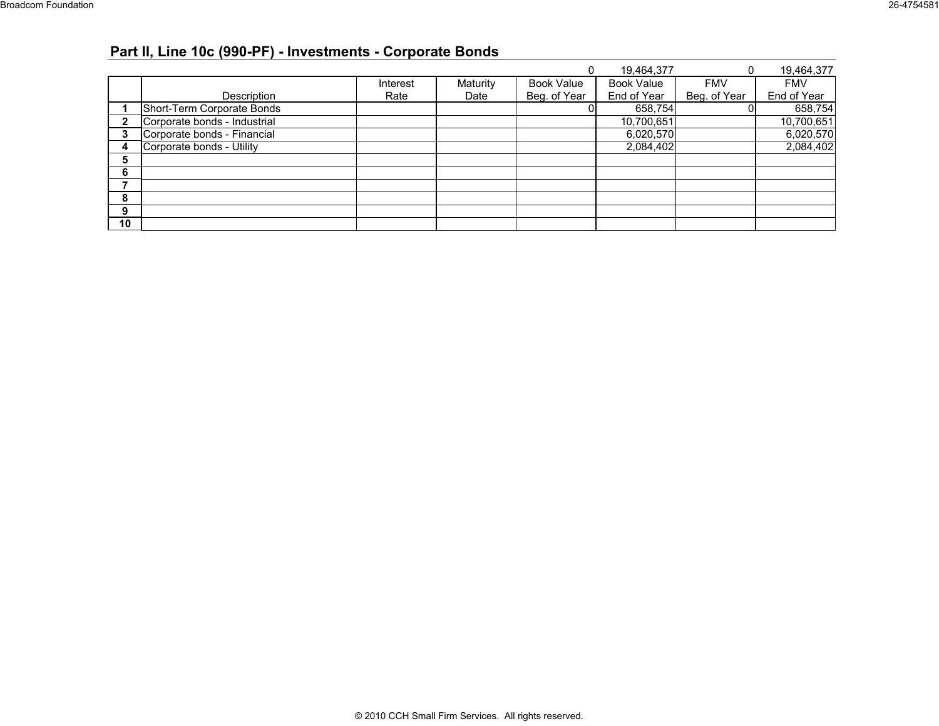# **Part II, Line 10c (990-PF) - Investments - Corporate Bonds**

|              |                              |          |          |                   | 19,464,377  | 0            | 19,464,377  |
|--------------|------------------------------|----------|----------|-------------------|-------------|--------------|-------------|
|              |                              | Interest | Maturity | <b>Book Value</b> | Book Value  | <b>FMV</b>   | <b>FMV</b>  |
|              | Description                  | Rate     | Date     | Beg. of Year      | End of Year | Beg. of Year | End of Year |
|              | Short-Term Corporate Bonds   |          |          |                   | 658,754     |              | 658,754     |
| $\mathbf{2}$ | Corporate bonds - Industrial |          |          |                   | 10,700,651  |              | 10,700,651  |
| 3            | Corporate bonds - Financial  |          |          |                   | 6,020,570   |              | 6,020,570   |
| 4            | Corporate bonds - Utility    |          |          |                   | 2,084,402   |              | 2,084,402   |
| 5            |                              |          |          |                   |             |              |             |
| 6            |                              |          |          |                   |             |              |             |
|              |                              |          |          |                   |             |              |             |
| 8            |                              |          |          |                   |             |              |             |
| 9            |                              |          |          |                   |             |              |             |
| 10           |                              |          |          |                   |             |              |             |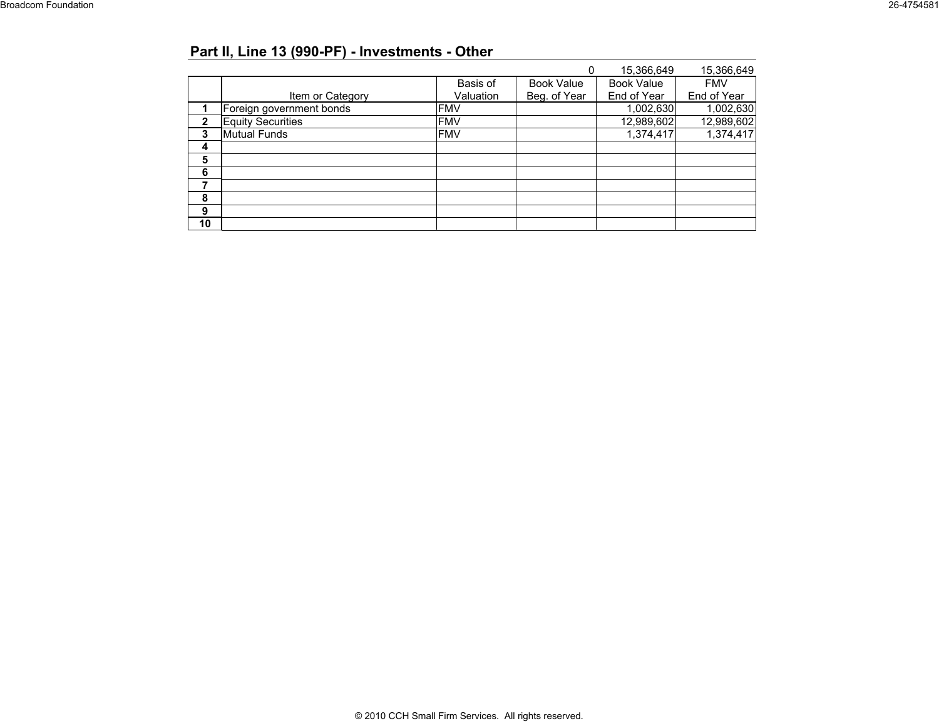# **Part II, Line 13 (990-PF) - Investments - Other**

|              |                          |            |                   | 15,366,649        | 15,366,649  |
|--------------|--------------------------|------------|-------------------|-------------------|-------------|
|              |                          | Basis of   | <b>Book Value</b> | <b>Book Value</b> | <b>FMV</b>  |
|              | Item or Category         | Valuation  | Beg. of Year      | End of Year       | End of Year |
|              | Foreign government bonds | <b>FMV</b> |                   | 1,002,630         | 1,002,630   |
| $\mathbf{2}$ | <b>Equity Securities</b> | <b>FMV</b> |                   | 12,989,602        | 12,989,602  |
| 3            | <b>Mutual Funds</b>      | <b>FMV</b> |                   | 1,374,417         | 1,374,417   |
| 4            |                          |            |                   |                   |             |
| 5            |                          |            |                   |                   |             |
| 6            |                          |            |                   |                   |             |
|              |                          |            |                   |                   |             |
| 8            |                          |            |                   |                   |             |
| 9            |                          |            |                   |                   |             |
| 10           |                          |            |                   |                   |             |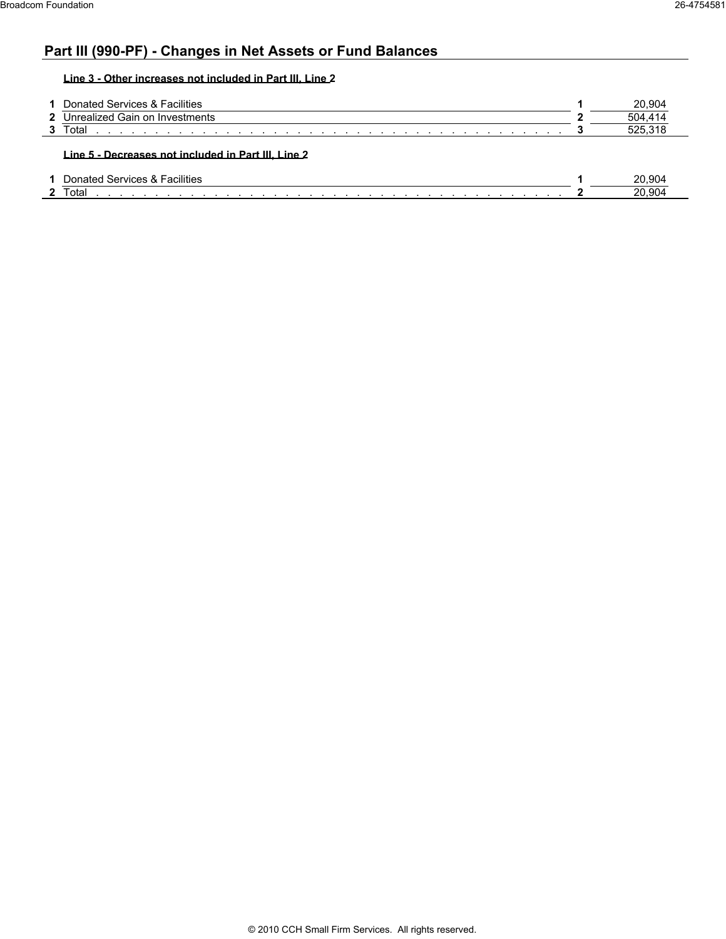## **Part III (990-PF) - Changes in Net Assets or Fund Balances**

**Line 3 - Other increases not included in Part III, Line 2**

| Donated Services & Facilities    | 20.904  |
|----------------------------------|---------|
| 2 Unrealized Gain on Investments | 504 414 |
| Total                            |         |

| <br>-acilities<br>ົ`≏rvices ພ<br>atec<br>$\sim$ | ?0.904        |
|-------------------------------------------------|---------------|
| otal                                            | 904<br>ົ<br>∼ |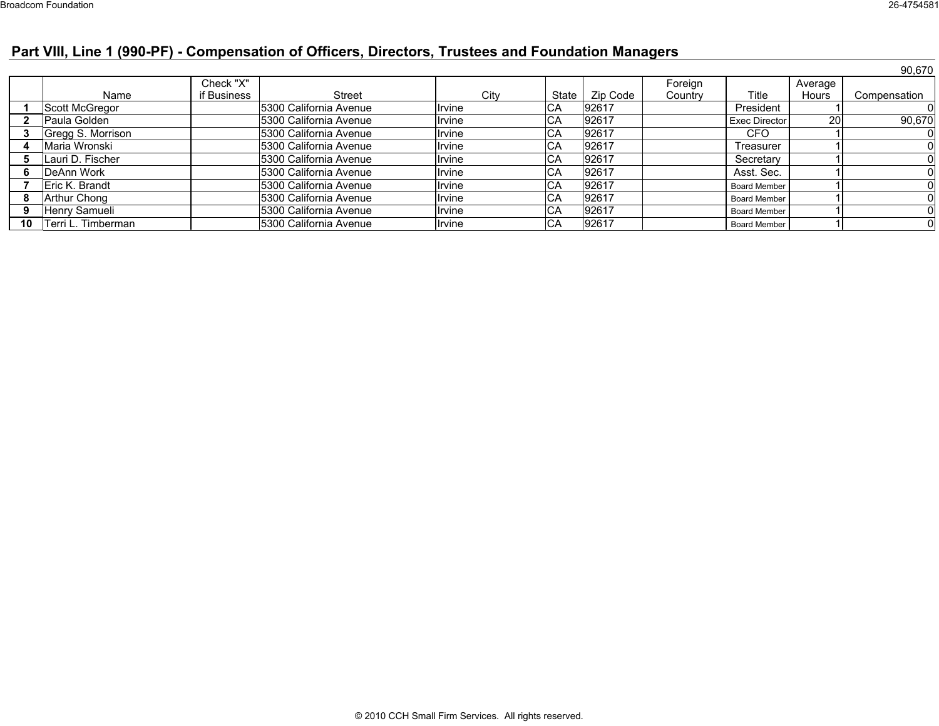# **Part VIII, Line 1 (990-PF) - Compensation of Officers, Directors, Trustees and Foundation Managers**

|    |                    |             |                         |        |            |          |         |                     |              | 90,670       |
|----|--------------------|-------------|-------------------------|--------|------------|----------|---------|---------------------|--------------|--------------|
|    |                    | Check "X"   |                         |        |            |          | Foreign |                     | Average      |              |
|    | Name               | if Business | <b>Street</b>           | Citv   | State      | Zip Code | Country | Title               | <b>Hours</b> | Compensation |
|    | Scott McGregor     |             | 5300 California Avenue  | Irvine | IСA        | 92617    |         | President           |              |              |
|    | Paula Golden       |             | 5300 California Avenue  | Irvine | CA         | 92617    |         | Exec Director       | <b>20</b>    | 90,670       |
|    | Gregg S. Morrison  |             | 15300 California Avenue | Irvine | CA         | 92617    |         | CFO                 |              |              |
|    | Maria Wronski      |             | 15300 California Avenue | Irvine | CA         | 92617    |         | Treasurer           |              |              |
| 5  | Lauri D. Fischer   |             | 5300 California Avenue  | Irvine | CA         | 92617    |         | Secretary           |              |              |
| 6. | DeAnn Work         |             | 5300 California Avenue  | Irvine | CA         | 92617    |         | Asst. Sec.          |              |              |
|    | IEric K. Brandt    |             | 15300 California Avenue | Irvine | CA         | 92617    |         | <b>Board Member</b> |              |              |
|    | Arthur Chong       |             | 5300 California Avenue  | Irvine | CA         | 92617    |         | <b>Board Member</b> |              |              |
| 9  | Henry Samueli      |             | 5300 California Avenue  | Irvine | CA         | 92617    |         | <b>Board Member</b> |              |              |
| 10 | Terri L. Timberman |             | 5300 California Avenue  | Irvine | <b>ICA</b> | 92617    |         | <b>Board Member</b> |              |              |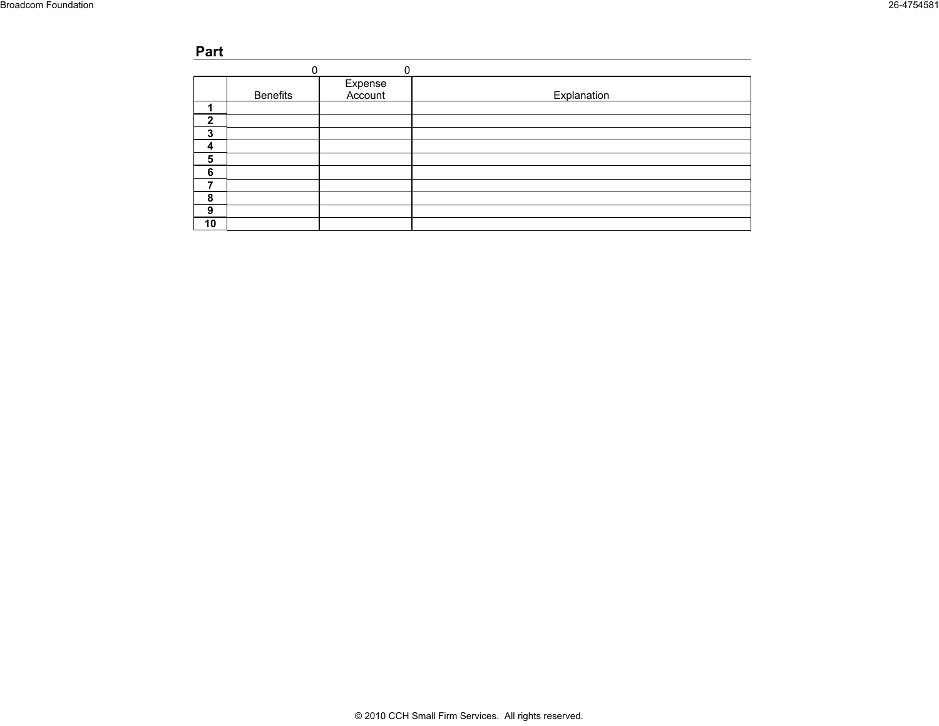#### **Part Part VIII, Line 1 (990-PF) - Competition of Officers, Trustees and Foundation Managers and Foundation Managers and Foundation Managers and Foundation Managers and Foundation Managers and Foundation Managers and F**

|              | 0               | 0                  |             |
|--------------|-----------------|--------------------|-------------|
|              | <b>Benefits</b> | Expense<br>Account | Explanation |
|              |                 |                    |             |
| $\mathbf{2}$ |                 |                    |             |
| 3            |                 |                    |             |
| 4            |                 |                    |             |
| 5            |                 |                    |             |
| 6            |                 |                    |             |
| ⇁            |                 |                    |             |
| 8            |                 |                    |             |
| 9            |                 |                    |             |
| 10           |                 |                    |             |